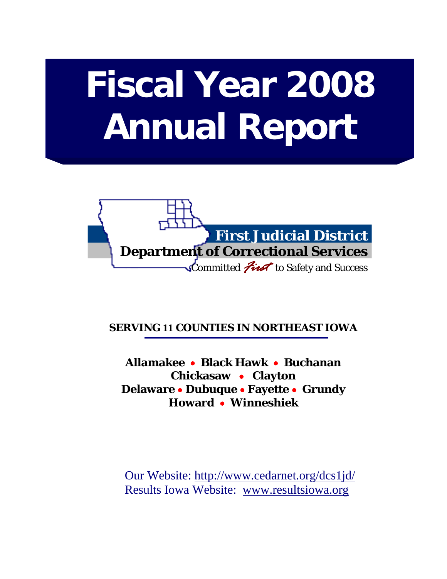# **Fiscal Year 2008 Annual Report**



# **SERVING 11 COUNTIES IN NORTHEAST IOWA**

**Allamakee** • **Black Hawk** • **Buchanan Chickasaw** • **Clayton Delaware** • **Dubuque** • **Fayette** • **Grundy Howard** • **Winneshiek** 

 Our Website: http://www.cedarnet.org/dcs1jd/ Results Iowa Website: www.resultsiowa.org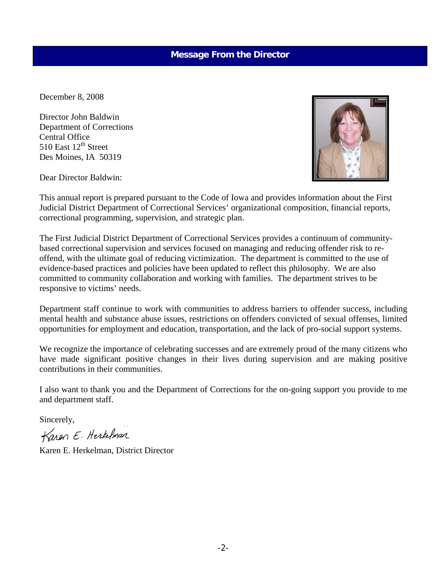### **Message From the Director**

December 8, 2008

Director John Baldwin Department of Corrections Central Office 510 East 12<sup>th</sup> Street Des Moines, IA 50319

Dear Director Baldwin:

This annual report is prepared pursuant to the Code of Iowa and provides information about the First Judicial District Department of Correctional Services' organizational composition, financial reports, correctional programming, supervision, and strategic plan.

The First Judicial District Department of Correctional Services provides a continuum of communitybased correctional supervision and services focused on managing and reducing offender risk to reoffend, with the ultimate goal of reducing victimization. The department is committed to the use of evidence-based practices and policies have been updated to reflect this philosophy. We are also committed to community collaboration and working with families. The department strives to be responsive to victims' needs.

Department staff continue to work with communities to address barriers to offender success, including mental health and substance abuse issues, restrictions on offenders convicted of sexual offenses, limited opportunities for employment and education, transportation, and the lack of pro-social support systems.

We recognize the importance of celebrating successes and are extremely proud of the many citizens who have made significant positive changes in their lives during supervision and are making positive contributions in their communities.

I also want to thank you and the Department of Corrections for the on-going support you provide to me and department staff.

Sincerely,

Karon E. Hertelman

Karen E. Herkelman, District Director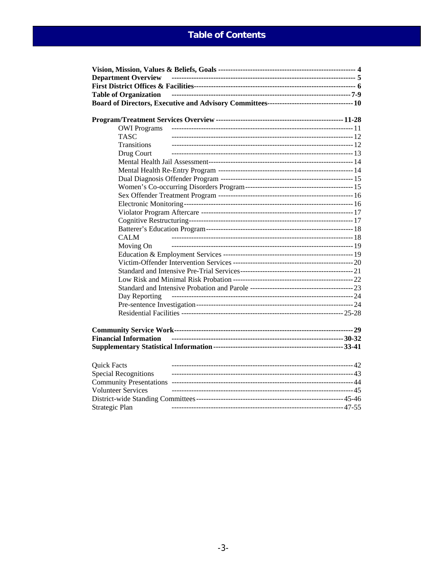# **Table of Contents**

| <b>Department Overview</b>   |  |
|------------------------------|--|
|                              |  |
| <b>Table of Organization</b> |  |
|                              |  |
|                              |  |
|                              |  |
| <b>OWI</b> Programs          |  |
| <b>TASC</b>                  |  |
| Transitions                  |  |
| Drug Court                   |  |
|                              |  |
|                              |  |
|                              |  |
|                              |  |
|                              |  |
|                              |  |
|                              |  |
|                              |  |
|                              |  |
| <b>CALM</b>                  |  |
| Moving On                    |  |
|                              |  |
|                              |  |
|                              |  |
|                              |  |
|                              |  |
| Day Reporting                |  |
|                              |  |
|                              |  |
|                              |  |
|                              |  |
| <b>Financial Information</b> |  |
|                              |  |
|                              |  |
| <b>Quick Facts</b>           |  |
| <b>Special Recognitions</b>  |  |
|                              |  |
| <b>Volunteer Services</b>    |  |
|                              |  |
| Strategic Plan               |  |
|                              |  |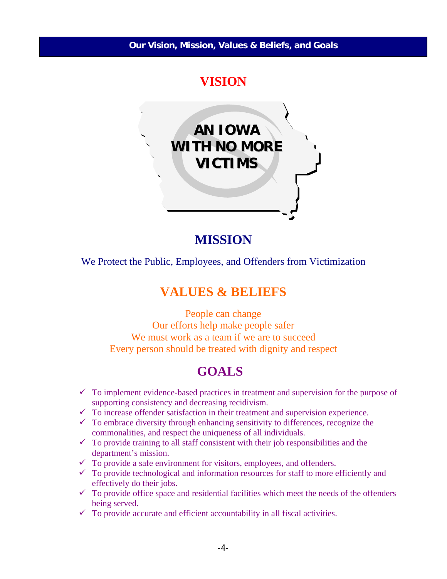# **VISION**



**MISSION** 

We Protect the Public, Employees, and Offenders from Victimization

# **VALUES & BELIEFS**

People can change Our efforts help make people safer We must work as a team if we are to succeed Every person should be treated with dignity and respect

# **GOALS**

- $\checkmark$  To implement evidence-based practices in treatment and supervision for the purpose of supporting consistency and decreasing recidivism.
- $\checkmark$  To increase offender satisfaction in their treatment and supervision experience.
- $\checkmark$  To embrace diversity through enhancing sensitivity to differences, recognize the commonalities, and respect the uniqueness of all individuals.
- $\checkmark$  To provide training to all staff consistent with their job responsibilities and the department's mission.
- $\checkmark$  To provide a safe environment for visitors, employees, and offenders.
- $\checkmark$  To provide technological and information resources for staff to more efficiently and effectively do their jobs.
- $\checkmark$  To provide office space and residential facilities which meet the needs of the offenders being served.
- $\checkmark$  To provide accurate and efficient accountability in all fiscal activities.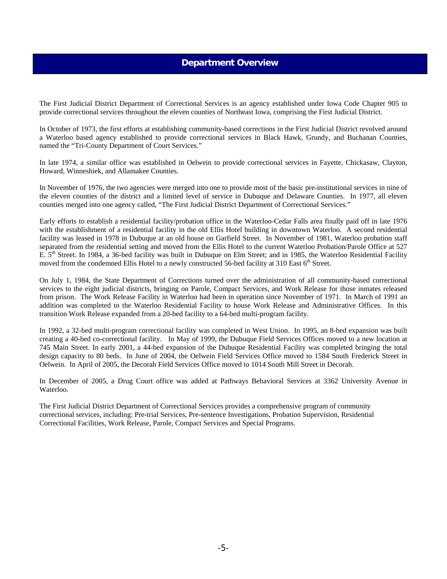### **Department Overview**

The First Judicial District Department of Correctional Services is an agency established under Iowa Code Chapter 905 to provide correctional services throughout the eleven counties of Northeast Iowa, comprising the First Judicial District.

In October of 1973, the first efforts at establishing community-based corrections in the First Judicial District revolved around a Waterloo based agency established to provide correctional services in Black Hawk, Grundy, and Buchanan Counties, named the "Tri-County Department of Court Services."

In late 1974, a similar office was established in Oelwein to provide correctional services in Fayette, Chickasaw, Clayton, Howard, Winneshiek, and Allamakee Counties.

In November of 1976, the two agencies were merged into one to provide most of the basic pre-institutional services in nine of the eleven counties of the district and a limited level of service in Dubuque and Delaware Counties. In 1977, all eleven counties merged into one agency called, "The First Judicial District Department of Correctional Services."

Early efforts to establish a residential facility/probation office in the Waterloo-Cedar Falls area finally paid off in late 1976 with the establishment of a residential facility in the old Ellis Hotel building in downtown Waterloo. A second residential facility was leased in 1978 in Dubuque at an old house on Garfield Street. In November of 1981, Waterloo probation staff separated from the residential setting and moved from the Ellis Hotel to the current Waterloo Probation/Parole Office at 527 E. 5<sup>th</sup> Street. In 1984, a 36-bed facility was built in Dubuque on Elm Street; and in 1985, the Waterloo Residential Facility moved from the condemned Ellis Hotel to a newly constructed 56-bed facility at 310 East  $6<sup>th</sup>$  Street.

On July 1, 1984, the State Department of Corrections turned over the administration of all community-based correctional services to the eight judicial districts, bringing on Parole, Compact Services, and Work Release for those inmates released from prison. The Work Release Facility in Waterloo had been in operation since November of 1971. In March of 1991 an addition was completed to the Waterloo Residential Facility to house Work Release and Administrative Offices. In this transition Work Release expanded from a 20-bed facility to a 64-bed multi-program facility.

In 1992, a 32-bed multi-program correctional facility was completed in West Union. In 1995, an 8-bed expansion was built creating a 40-bed co-correctional facility. In May of 1999, the Dubuque Field Services Offices moved to a new location at 745 Main Street. In early 2001, a 44-bed expansion of the Dubuque Residential Facility was completed bringing the total design capacity to 80 beds. In June of 2004, the Oelwein Field Services Office moved to 1584 South Frederick Street in Oelwein. In April of 2005, the Decorah Field Services Office moved to 1014 South Mill Street in Decorah.

In December of 2005, a Drug Court office was added at Pathways Behavioral Services at 3362 University Avenue in Waterloo.

The First Judicial District Department of Correctional Services provides a comprehensive program of community correctional services, including: Pre-trial Services, Pre-sentence Investigations, Probation Supervision, Residential Correctional Facilities, Work Release, Parole, Compact Services and Special Programs.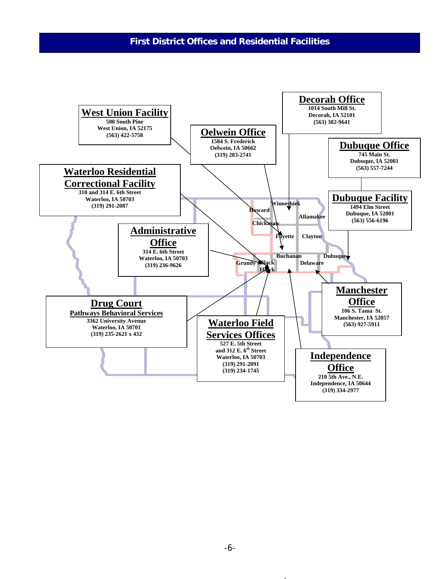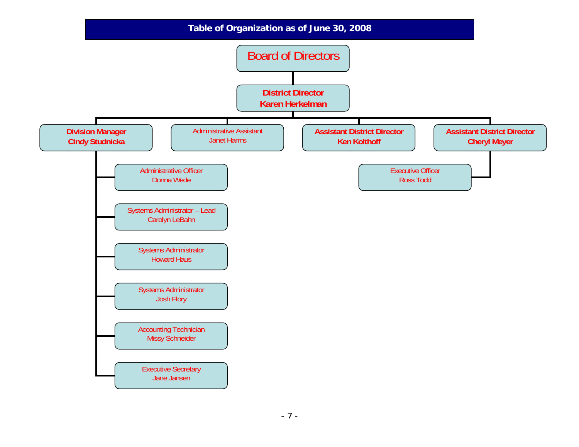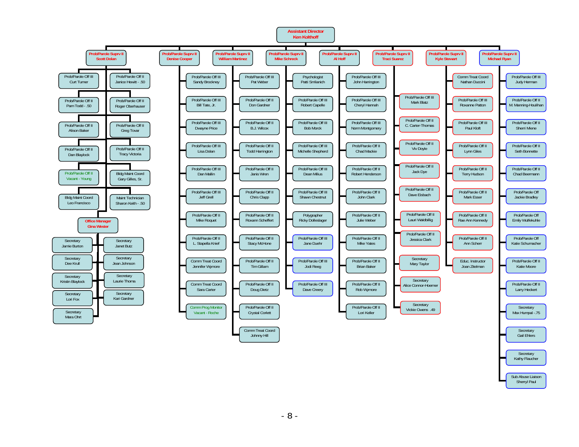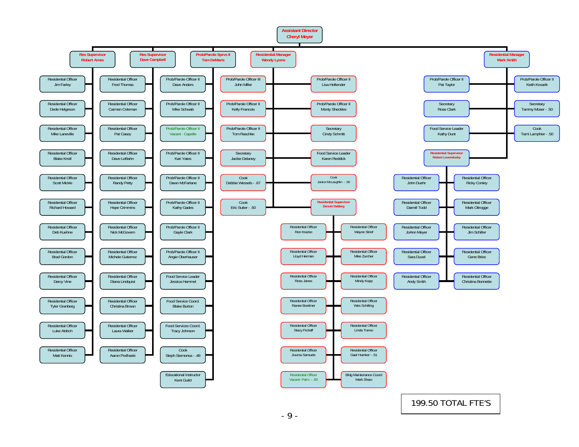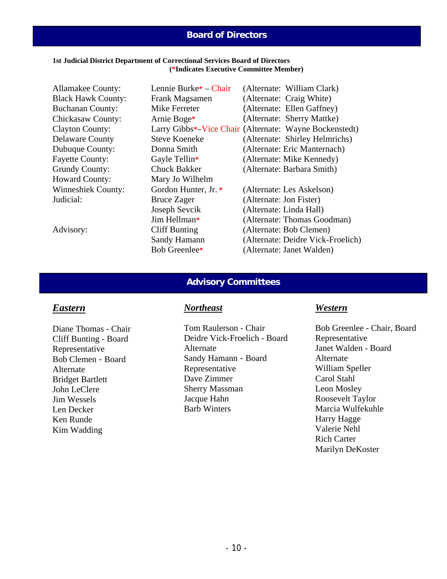## **Board of Directors**

### **1st Judicial District Department of Correctional Services Board of Directors (\*Indicates Executive Committee Member)**

| <b>Allamakee County:</b>  | Lennie Burke <sup>*</sup> – Chair | (Alternate: William Clark)                             |
|---------------------------|-----------------------------------|--------------------------------------------------------|
| <b>Black Hawk County:</b> | Frank Magsamen                    | (Alternate: Craig White)                               |
| <b>Buchanan County:</b>   | Mike Ferreter                     | (Alternate: Ellen Gaffney)                             |
| Chickasaw County:         | Arnie Boge*                       | (Alternate: Sherry Mattke)                             |
| <b>Clayton County:</b>    |                                   | Larry Gibbs*-Vice Chair (Alternate: Wayne Bockenstedt) |
| <b>Delaware County</b>    | <b>Steve Koeneke</b>              | (Alternate: Shirley Helmrichs)                         |
| Dubuque County:           | Donna Smith                       | (Alternate: Eric Manternach)                           |
| <b>Fayette County:</b>    | Gayle Tellin*                     | (Alternate: Mike Kennedy)                              |
| <b>Grundy County:</b>     | <b>Chuck Bakker</b>               | (Alternate: Barbara Smith)                             |
| <b>Howard County:</b>     | Mary Jo Wilhelm                   |                                                        |
| <b>Winneshiek County:</b> | Gordon Hunter, Jr. *              | (Alternate: Les Askelson)                              |
| Judicial:                 | <b>Bruce Zager</b>                | (Alternate: Jon Fister)                                |
|                           | Joseph Sevcik                     | (Alternate: Linda Hall)                                |
|                           | Jim Hellman*                      | (Alternate: Thomas Goodman)                            |
| Advisory:                 | Cliff Bunting                     | (Alternate: Bob Clemen)                                |
|                           | Sandy Hamann                      | (Alternate: Deidre Vick-Froelich)                      |
|                           | Bob Greenlee*                     | (Alternate: Janet Walden)                              |

### **Advisory Committees**

### *Eastern*

Diane Thomas - Chair Cliff Bunting - Board Representative Bob Clemen - Board Alternate Bridget Bartlett John LeClere Jim Wessels Len Decker Ken Runde Kim Wadding

### *Northeast*

Tom Raulerson - Chair Deidre Vick-Froelich - Board Alternate Sandy Hamann - Board Representative Dave Zimmer Sherry Massman Jacque Hahn Barb Winters

### *Western*

Bob Greenlee - Chair, Board Representative Janet Walden - Board Alternate William Speller Carol Stahl Leon Mosley Roosevelt Taylor Marcia Wulfekuhle Harry Hagge Valerie Nehl Rich Carter Marilyn DeKoster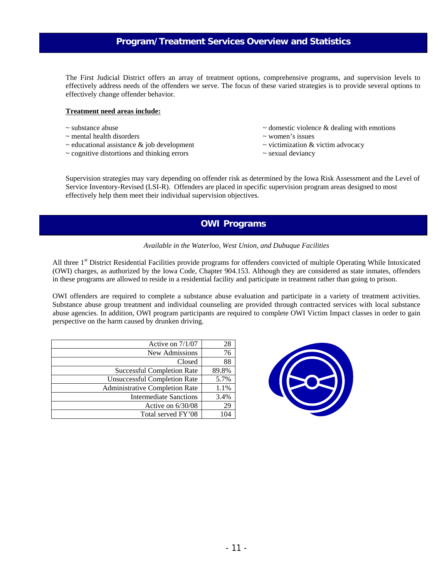# **Program/Treatment Services Overview and Statistics**

The First Judicial District offers an array of treatment options, comprehensive programs, and supervision levels to effectively address needs of the offenders we serve. The focus of these varied strategies is to provide several options to effectively change offender behavior.

#### **Treatment need areas include:**

- 
- $\sim$  mental health disorders  $\sim$  women's issues
- $\sim$  educational assistance  $\&$  job development  $\sim$  victimization  $\&$  victim advocacy
- ~ cognitive distortions and thinking errors ~ sexual deviancy
- $\sim$  substance abuse  $\sim$  domestic violence & dealing with emotions
	-
	-
	-

Supervision strategies may vary depending on offender risk as determined by the Iowa Risk Assessment and the Level of Service Inventory-Revised (LSI-R). Offenders are placed in specific supervision program areas designed to most effectively help them meet their individual supervision objectives.

### **OWI Programs**

#### *Available in the Waterloo, West Union, and Dubuque Facilities*

All three 1<sup>st</sup> District Residential Facilities provide programs for offenders convicted of multiple Operating While Intoxicated (OWI) charges, as authorized by the Iowa Code, Chapter 904.153. Although they are considered as state inmates, offenders in these programs are allowed to reside in a residential facility and participate in treatment rather than going to prison.

OWI offenders are required to complete a substance abuse evaluation and participate in a variety of treatment activities. Substance abuse group treatment and individual counseling are provided through contracted services with local substance abuse agencies. In addition, OWI program participants are required to complete OWI Victim Impact classes in order to gain perspective on the harm caused by drunken driving.

| Active on $7/1/07$                    | 28    |
|---------------------------------------|-------|
| New Admissions                        | 76    |
| Closed                                | 88    |
| <b>Successful Completion Rate</b>     | 89.8% |
| <b>Unsuccessful Completion Rate</b>   | 5.7%  |
| <b>Administrative Completion Rate</b> | 1.1%  |
| Intermediate Sanctions                | 3.4%  |
| Active on $6/30/08$                   | 29    |
| Total served FY'08                    |       |

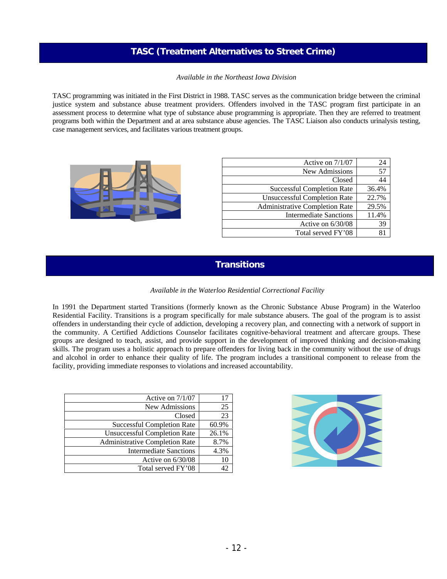# **TASC (Treatment Alternatives to Street Crime)**

*Available in the Northeast Iowa Division*

TASC programming was initiated in the First District in 1988. TASC serves as the communication bridge between the criminal justice system and substance abuse treatment providers. Offenders involved in the TASC program first participate in an assessment process to determine what type of substance abuse programming is appropriate. Then they are referred to treatment programs both within the Department and at area substance abuse agencies. The TASC Liaison also conducts urinalysis testing, case management services, and facilitates various treatment groups.



| Active on $7/1/07$                    | 24    |
|---------------------------------------|-------|
| New Admissions                        | 57    |
| Closed                                | 44    |
| <b>Successful Completion Rate</b>     | 36.4% |
| <b>Unsuccessful Completion Rate</b>   | 22.7% |
| <b>Administrative Completion Rate</b> | 29.5% |
| <b>Intermediate Sanctions</b>         | 11.4% |
| Active on $6/30/08$                   | 39    |
| Total served FY'08                    |       |

# **Transitions**

### *Available in the Waterloo Residential Correctional Facility*

In 1991 the Department started Transitions (formerly known as the Chronic Substance Abuse Program) in the Waterloo Residential Facility. Transitions is a program specifically for male substance abusers. The goal of the program is to assist offenders in understanding their cycle of addiction, developing a recovery plan, and connecting with a network of support in the community. A Certified Addictions Counselor facilitates cognitive-behavioral treatment and aftercare groups. These groups are designed to teach, assist, and provide support in the development of improved thinking and decision-making skills. The program uses a holistic approach to prepare offenders for living back in the community without the use of drugs and alcohol in order to enhance their quality of life. The program includes a transitional component to release from the facility, providing immediate responses to violations and increased accountability.

| Active on 7/1/07                      | 17    |
|---------------------------------------|-------|
| New Admissions                        | 25    |
| Closed                                | 23    |
| <b>Successful Completion Rate</b>     | 60.9% |
| <b>Unsuccessful Completion Rate</b>   | 26.1% |
| <b>Administrative Completion Rate</b> | 8.7%  |
| <b>Intermediate Sanctions</b>         | 4.3%  |
| Active on $6/30/08$                   | 10    |
| Total served FY'08                    |       |

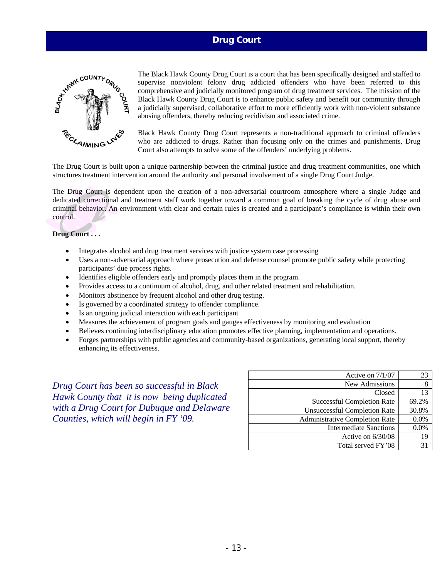### **Drug Court**



The Black Hawk County Drug Court is a court that has been specifically designed and staffed to supervise nonviolent felony drug addicted offenders who have been referred to this comprehensive and judicially monitored program of drug treatment services. The mission of the Black Hawk County Drug Court is to enhance public safety and benefit our community through a judicially supervised, collaborative effort to more efficiently work with non-violent substance abusing offenders, thereby reducing recidivism and associated crime.

Black Hawk County Drug Court represents a non-traditional approach to criminal offenders who are addicted to drugs. Rather than focusing only on the crimes and punishments, Drug Court also attempts to solve some of the offenders' underlying problems.

The Drug Court is built upon a unique partnership between the criminal justice and drug treatment communities, one which structures treatment intervention around the authority and personal involvement of a single Drug Court Judge.

The Drug Court is dependent upon the creation of a non-adversarial courtroom atmosphere where a single Judge and dedicated correctional and treatment staff work together toward a common goal of breaking the cycle of drug abuse and criminal behavior. An environment with clear and certain rules is created and a participant's compliance is within their own control.

### **Drug Court . . .**

- Integrates alcohol and drug treatment services with justice system case processing
- Uses a non-adversarial approach where prosecution and defense counsel promote public safety while protecting participants' due process rights.
- Identifies eligible offenders early and promptly places them in the program.
- Provides access to a continuum of alcohol, drug, and other related treatment and rehabilitation.
- Monitors abstinence by frequent alcohol and other drug testing.
- Is governed by a coordinated strategy to offender compliance.
- Is an ongoing judicial interaction with each participant
- Measures the achievement of program goals and gauges effectiveness by monitoring and evaluation
- Believes continuing interdisciplinary education promotes effective planning, implementation and operations.
- Forges partnerships with public agencies and community-based organizations, generating local support, thereby enhancing its effectiveness.

*Drug Court has been so successful in Black Hawk County that it is now being duplicated with a Drug Court for Dubuque and Delaware Counties, which will begin in FY '09.* 

| Active on $7/1/07$                    | 23    |
|---------------------------------------|-------|
| New Admissions                        | 8     |
| Closed                                | 13    |
| <b>Successful Completion Rate</b>     | 69.2% |
| <b>Unsuccessful Completion Rate</b>   | 30.8% |
| <b>Administrative Completion Rate</b> | 0.0%  |
| Intermediate Sanctions                | 0.0%  |
| Active on $6/30/08$                   | 19    |
| Total served FY'08                    | 31    |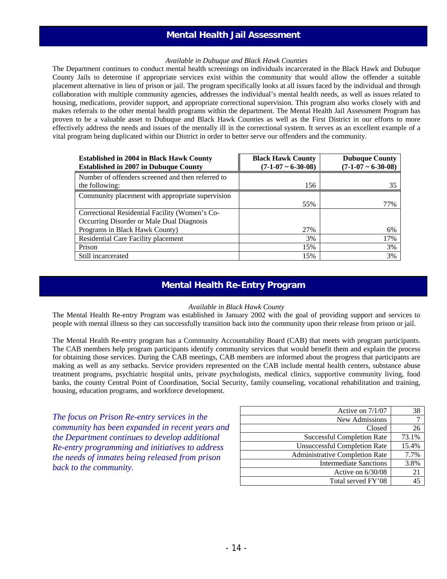### **Mental Health Jail Assessment**

### *Available in Dubuque and Black Hawk Counties*

The Department continues to conduct mental health screenings on individuals incarcerated in the Black Hawk and Dubuque County Jails to determine if appropriate services exist within the community that would allow the offender a suitable placement alternative in lieu of prison or jail. The program specifically looks at all issues faced by the individual and through collaboration with multiple community agencies, addresses the individual's mental health needs, as well as issues related to housing, medications, provider support, and appropriate correctional supervision. This program also works closely with and makes referrals to the other mental health programs within the department. The Mental Health Jail Assessment Program has proven to be a valuable asset to Dubuque and Black Hawk Counties as well as the First District in our efforts to more effectively address the needs and issues of the mentally ill in the correctional system. It serves as an excellent example of a vital program being duplicated within our District in order to better serve our offenders and the community.

| <b>Established in 2004 in Black Hawk County</b><br><b>Established in 2007 in Dubuque County</b> | <b>Black Hawk County</b><br>$(7-1-07 \sim 6-30-08)$ | <b>Dubuque County</b><br>$(7-1-07 \sim 6-30-08)$ |
|-------------------------------------------------------------------------------------------------|-----------------------------------------------------|--------------------------------------------------|
| Number of offenders screened and then referred to<br>the following:                             | 156                                                 | 35                                               |
| Community placement with appropriate supervision                                                |                                                     |                                                  |
|                                                                                                 | 55%                                                 | 77%                                              |
| Correctional Residential Facility (Women's Co-                                                  |                                                     |                                                  |
| Occurring Disorder or Male Dual Diagnosis                                                       |                                                     |                                                  |
| Programs in Black Hawk County)                                                                  | 27%                                                 | 6%                                               |
| Residential Care Facility placement                                                             | 3%                                                  | 17%                                              |
| Prison                                                                                          | 15%                                                 | 3%                                               |
| Still incarcerated                                                                              | 15%                                                 | 3%                                               |

### **Mental Health Re-Entry Program**

#### *Available in Black Hawk County*

The Mental Health Re-entry Program was established in January 2002 with the goal of providing support and services to people with mental illness so they can successfully transition back into the community upon their release from prison or jail.

The Mental Health Re-entry program has a Community Accountability Board (CAB) that meets with program participants. The CAB members help program participants identify community services that would benefit them and explain the process for obtaining those services. During the CAB meetings, CAB members are informed about the progress that participants are making as well as any setbacks. Service providers represented on the CAB include mental health centers, substance abuse treatment programs, psychiatric hospital units, private psychologists, medical clinics, supportive community living, food banks, the county Central Point of Coordination, Social Security, family counseling, vocational rehabilitation and training, housing, education programs, and workforce development.

*The focus on Prison Re-entry services in the community has been expanded in recent years and the Department continues to develop additional Re-entry programming and initiatives to address the needs of inmates being released from prison back to the community.* 

| Active on $7/1/07$                    | 38    |
|---------------------------------------|-------|
| New Admissions                        |       |
| Closed                                | 26    |
| <b>Successful Completion Rate</b>     | 73.1% |
| <b>Unsuccessful Completion Rate</b>   | 15.4% |
| <b>Administrative Completion Rate</b> | 7.7%  |
| <b>Intermediate Sanctions</b>         | 3.8%  |
| Active on $6/30/08$                   | 21    |
| Total served FY'08                    |       |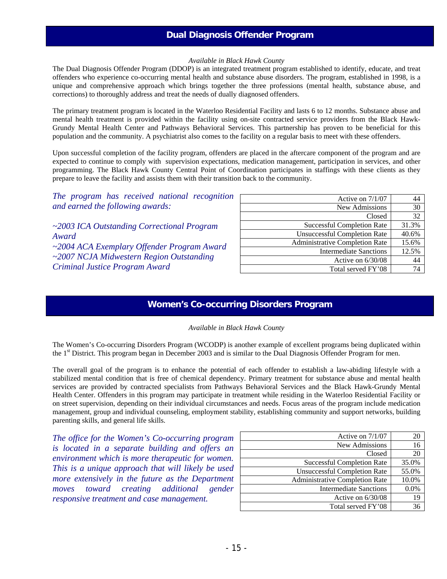## **Dual Diagnosis Offender Program**

#### *Available in Black Hawk County*

The Dual Diagnosis Offender Program (DDOP) is an integrated treatment program established to identify, educate, and treat offenders who experience co-occurring mental health and substance abuse disorders. The program, established in 1998, is a unique and comprehensive approach which brings together the three professions (mental health, substance abuse, and corrections) to thoroughly address and treat the needs of dually diagnosed offenders.

The primary treatment program is located in the Waterloo Residential Facility and lasts 6 to 12 months. Substance abuse and mental health treatment is provided within the facility using on-site contracted service providers from the Black Hawk-Grundy Mental Health Center and Pathways Behavioral Services. This partnership has proven to be beneficial for this population and the community. A psychiatrist also comes to the facility on a regular basis to meet with these offenders.

Upon successful completion of the facility program, offenders are placed in the aftercare component of the program and are expected to continue to comply with supervision expectations, medication management, participation in services, and other programming. The Black Hawk County Central Point of Coordination participates in staffings with these clients as they prepare to leave the facility and assists them with their transition back to the community.

*The program has received national recognition and earned the following awards:* 

*~2003 ICA Outstanding Correctional Program Award ~2004 ACA Exemplary Offender Program Award ~2007 NCJA Midwestern Region Outstanding Criminal Justice Program Award* 

| Active on $7/1/07$                    | 44    |
|---------------------------------------|-------|
| New Admissions                        | 30    |
| Closed                                | 32    |
| <b>Successful Completion Rate</b>     | 31.3% |
| <b>Unsuccessful Completion Rate</b>   | 40.6% |
| <b>Administrative Completion Rate</b> | 15.6% |
| <b>Intermediate Sanctions</b>         | 12.5% |
| Active on $6/30/08$                   | 44    |
| Total served FY'08                    |       |

### **Women's Co-occurring Disorders Program**

*Available in Black Hawk County* 

The Women's Co-occurring Disorders Program (WCODP) is another example of excellent programs being duplicated within the 1<sup>st</sup> District. This program began in December 2003 and is similar to the Dual Diagnosis Offender Program for men.

The overall goal of the program is to enhance the potential of each offender to establish a law-abiding lifestyle with a stabilized mental condition that is free of chemical dependency. Primary treatment for substance abuse and mental health services are provided by contracted specialists from Pathways Behavioral Services and the Black Hawk-Grundy Mental Health Center. Offenders in this program may participate in treatment while residing in the Waterloo Residential Facility or on street supervision, depending on their individual circumstances and needs. Focus areas of the program include medication management, group and individual counseling, employment stability, establishing community and support networks, building parenting skills, and general life skills.

*The office for the Women's Co-occurring program is located in a separate building and offers an environment which is more therapeutic for women. This is a unique approach that will likely be used more extensively in the future as the Department moves toward creating additional gender responsive treatment and case management.* 

| Active on $7/1/07$                    | 20      |
|---------------------------------------|---------|
| New Admissions                        | 16      |
| Closed                                | 20      |
| <b>Successful Completion Rate</b>     | 35.0%   |
| <b>Unsuccessful Completion Rate</b>   | 55.0%   |
| <b>Administrative Completion Rate</b> | 10.0%   |
| <b>Intermediate Sanctions</b>         | $0.0\%$ |
| Active on 6/30/08                     | 19      |
| Total served FY'08                    |         |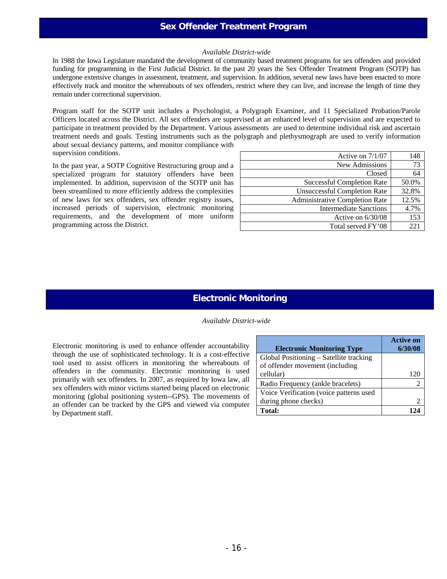### **Sex Offender Treatment Program**

#### *Available District-wide*

In 1988 the Iowa Legislature mandated the development of community based treatment programs for sex offenders and provided funding for programming in the First Judicial District. In the past 20 years the Sex Offender Treatment Program (SOTP) has undergone extensive changes in assessment, treatment, and supervision. In addition, several new laws have been enacted to more effectively track and monitor the whereabouts of sex offenders, restrict where they can live, and increase the length of time they remain under correctional supervision.

Program staff for the SOTP unit includes a Psychologist, a Polygraph Examiner, and 11 Specialized Probation/Parole Officers located across the District. All sex offenders are supervised at an enhanced level of supervision and are expected to participate in treatment provided by the Department. Various assessments are used to determine individual risk and ascertain treatment needs and goals. Testing instruments such as the polygraph and plethysmograph are used to verify information about sexual deviancy patterns, and monitor compliance with supervision conditions.

In the past year, a SOTP Cognitive Restructuring group and a specialized program for statutory offenders have been implemented. In addition, supervision of the SOTP unit has been streamlined to more efficiently address the complexities of new laws for sex offenders, sex offender registry issues, increased periods of supervision, electronic monitoring requirements, and the development of more uniform programming across the District.

| Active on $7/1/07$                    | 148   |
|---------------------------------------|-------|
| New Admissions                        | 73    |
| Closed                                | 64    |
| <b>Successful Completion Rate</b>     | 50.0% |
| <b>Unsuccessful Completion Rate</b>   | 32.8% |
| <b>Administrative Completion Rate</b> | 12.5% |
| <b>Intermediate Sanctions</b>         | 4.7%  |
| Active on $6/30/08$                   | 153   |
| Total served FY'08                    | 221   |

### **Electronic Monitoring**

*Available District-wide* 

Electronic monitoring is used to enhance offender accountability through the use of sophisticated technology. It is a cost-effective tool used to assist officers in monitoring the whereabouts of offenders in the community. Electronic monitoring is used primarily with sex offenders. In 2007, as required by Iowa law, all sex offenders with minor victims started being placed on electronic monitoring (global positioning system--GPS). The movements of an offender can be tracked by the GPS and viewed via computer by Department staff.

| <b>Electronic Monitoring Type</b>       | <b>Active on</b><br>6/30/08 |
|-----------------------------------------|-----------------------------|
|                                         |                             |
| Global Positioning – Satellite tracking |                             |
| of offender movement (including         |                             |
| cellular)                               | 120                         |
| Radio Frequency (ankle bracelets)       |                             |
| Voice Verification (voice patterns used |                             |
| during phone checks)                    |                             |
| <b>Total:</b>                           |                             |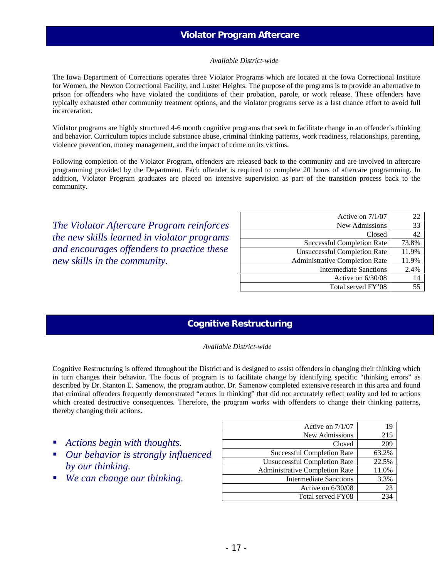# **Violator Program Aftercare**

#### *Available District-wide*

The Iowa Department of Corrections operates three Violator Programs which are located at the Iowa Correctional Institute for Women, the Newton Correctional Facility, and Luster Heights. The purpose of the programs is to provide an alternative to prison for offenders who have violated the conditions of their probation, parole, or work release. These offenders have typically exhausted other community treatment options, and the violator programs serve as a last chance effort to avoid full incarceration.

Violator programs are highly structured 4-6 month cognitive programs that seek to facilitate change in an offender's thinking and behavior. Curriculum topics include substance abuse, criminal thinking patterns, work readiness, relationships, parenting, violence prevention, money management, and the impact of crime on its victims.

Following completion of the Violator Program, offenders are released back to the community and are involved in aftercare programming provided by the Department. Each offender is required to complete 20 hours of aftercare programming. In addition, Violator Program graduates are placed on intensive supervision as part of the transition process back to the community.

*The Violator Aftercare Program reinforces the new skills learned in violator programs and encourages offenders to practice these new skills in the community.* 

| Active on $7/1/07$                  | 22    |
|-------------------------------------|-------|
| New Admissions                      | 33    |
| Closed                              | 42    |
| <b>Successful Completion Rate</b>   | 73.8% |
| <b>Unsuccessful Completion Rate</b> | 11.9% |
| Administrative Completion Rate      | 11.9% |
| <b>Intermediate Sanctions</b>       | 2.4%  |
| Active on $6/30/08$                 | 14    |
| Total served FY'08                  | 55    |

### **Cognitive Restructuring**

#### *Available District-wide*

Cognitive Restructuring is offered throughout the District and is designed to assist offenders in changing their thinking which in turn changes their behavior. The focus of program is to facilitate change by identifying specific "thinking errors" as described by Dr. Stanton E. Samenow, the program author. Dr. Samenow completed extensive research in this area and found that criminal offenders frequently demonstrated "errors in thinking" that did not accurately reflect reality and led to actions which created destructive consequences. Therefore, the program works with offenders to change their thinking patterns, thereby changing their actions.

- *Actions begin with thoughts.*
- *Our behavior is strongly influenced by our thinking.*
- *We can change our thinking.*

| Active on 7/1/07                      | 19    |
|---------------------------------------|-------|
| New Admissions                        | 215   |
| Closed                                | 209   |
| <b>Successful Completion Rate</b>     | 63.2% |
| <b>Unsuccessful Completion Rate</b>   | 22.5% |
| <b>Administrative Completion Rate</b> | 11.0% |
| <b>Intermediate Sanctions</b>         | 3.3%  |
| Active on 6/30/08                     | 23    |
| Total served FY08                     | 73.   |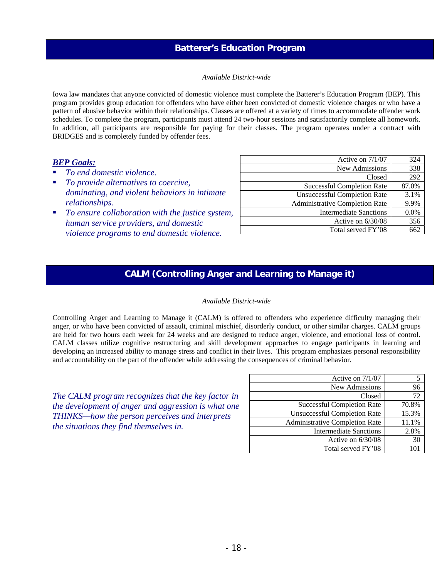### **Batterer's Education Program**

#### *Available District-wide*

Iowa law mandates that anyone convicted of domestic violence must complete the Batterer's Education Program (BEP). This program provides group education for offenders who have either been convicted of domestic violence charges or who have a pattern of abusive behavior within their relationships. Classes are offered at a variety of times to accommodate offender work schedules. To complete the program, participants must attend 24 two-hour sessions and satisfactorily complete all homework. In addition, all participants are responsible for paying for their classes. The program operates under a contract with BRIDGES and is completely funded by offender fees.

### *BEP Goals:*

- *To end domestic violence.*
- *To provide alternatives to coercive, dominating, and violent behaviors in intimate relationships.*
- *To ensure collaboration with the justice system, human service providers, and domestic violence programs to end domestic violence.*

| Active on 7/1/07                      | 324   |
|---------------------------------------|-------|
| New Admissions                        | 338   |
| Closed                                | 292   |
| <b>Successful Completion Rate</b>     | 87.0% |
| <b>Unsuccessful Completion Rate</b>   | 3.1%  |
| <b>Administrative Completion Rate</b> | 9.9%  |
| <b>Intermediate Sanctions</b>         | 0.0%  |
| Active on $6/30/08$                   | 356   |
| Total served FY'08                    | 662   |

# **CALM (Controlling Anger and Learning to Manage it)**

### *Available District-wide*

Controlling Anger and Learning to Manage it (CALM) is offered to offenders who experience difficulty managing their anger, or who have been convicted of assault, criminal mischief, disorderly conduct, or other similar charges. CALM groups are held for two hours each week for 24 weeks and are designed to reduce anger, violence, and emotional loss of control. CALM classes utilize cognitive restructuring and skill development approaches to engage participants in learning and developing an increased ability to manage stress and conflict in their lives. This program emphasizes personal responsibility and accountability on the part of the offender while addressing the consequences of criminal behavior.

*The CALM program recognizes that the key factor in the development of anger and aggression is what one THINKS—how the person perceives and interprets the situations they find themselves in.* 

| Active on $7/1/07$                    |       |
|---------------------------------------|-------|
| New Admissions                        | 96    |
| Closed                                | 72    |
| <b>Successful Completion Rate</b>     | 70.8% |
| <b>Unsuccessful Completion Rate</b>   | 15.3% |
| <b>Administrative Completion Rate</b> | 11.1% |
| <b>Intermediate Sanctions</b>         | 2.8%  |
| Active on 6/30/08                     | 30    |
| Total served FY'08                    |       |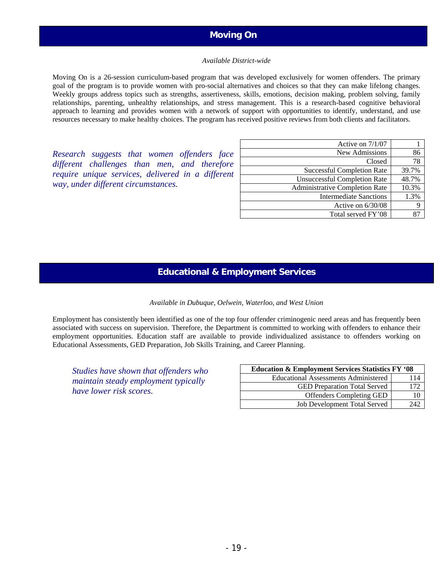## **Moving On**

#### *Available District-wide*

Moving On is a 26-session curriculum-based program that was developed exclusively for women offenders. The primary goal of the program is to provide women with pro-social alternatives and choices so that they can make lifelong changes. Weekly groups address topics such as strengths, assertiveness, skills, emotions, decision making, problem solving, family relationships, parenting, unhealthy relationships, and stress management. This is a research-based cognitive behavioral approach to learning and provides women with a network of support with opportunities to identify, understand, and use resources necessary to make healthy choices. The program has received positive reviews from both clients and facilitators.

*Research suggests that women offenders face different challenges than men, and therefore require unique services, delivered in a different way, under different circumstances.* 

| Active on 7/1/07                      |       |
|---------------------------------------|-------|
| New Admissions                        | 86    |
| Closed                                | 78    |
| <b>Successful Completion Rate</b>     | 39.7% |
| <b>Unsuccessful Completion Rate</b>   | 48.7% |
| <b>Administrative Completion Rate</b> | 10.3% |
| <b>Intermediate Sanctions</b>         | 1.3%  |
| Active on $6/30/08$                   |       |
| Total served FY'08                    |       |

### **Educational & Employment Services**

#### *Available in Dubuque, Oelwein, Waterloo, and West Union*

Employment has consistently been identified as one of the top four offender criminogenic need areas and has frequently been associated with success on supervision. Therefore, the Department is committed to working with offenders to enhance their employment opportunities. Education staff are available to provide individualized assistance to offenders working on Educational Assessments, GED Preparation, Job Skills Training, and Career Planning.

*Studies have shown that offenders who maintain steady employment typically have lower risk scores.* 

| <b>Education &amp; Employment Services Statistics FY '08</b> |     |  |
|--------------------------------------------------------------|-----|--|
| <b>Educational Assessments Administered</b>                  | 114 |  |
| <b>GED</b> Preparation Total Served                          | 172 |  |
| <b>Offenders Completing GED</b>                              | 10  |  |
| Job Development Total Served                                 | 242 |  |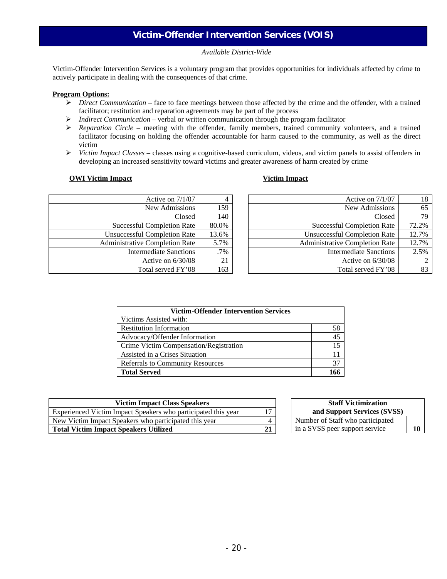# **Victim-Offender Intervention Services (VOIS)**

#### *Available District-Wide*

Victim-Offender Intervention Services is a voluntary program that provides opportunities for individuals affected by crime to actively participate in dealing with the consequences of that crime.

#### **Program Options:**

- ¾ *Direct Communication* face to face meetings between those affected by the crime and the offender, with a trained facilitator; restitution and reparation agreements may be part of the process
- ¾ *Indirect Communication* verbal or written communication through the program facilitator
- ¾ *Reparation Circle* meeting with the offender, family members, trained community volunteers, and a trained facilitator focusing on holding the offender accountable for harm caused to the community, as well as the direct victim
- ¾ *Victim Impact Classes –* classes using a cognitive-based curriculum, videos, and victim panels to assist offenders in developing an increased sensitivity toward victims and greater awareness of harm created by crime

#### **<u> OWI Victim Impact</u> <b>Victim Impact Victim Impact**

| Active on 7/1/07                      |       |
|---------------------------------------|-------|
| New Admissions                        | 159   |
| Closed                                | 140   |
| <b>Successful Completion Rate</b>     | 80.0% |
| <b>Unsuccessful Completion Rate</b>   | 13.6% |
| <b>Administrative Completion Rate</b> | 5.7%  |
| <b>Intermediate Sanctions</b>         | .7%   |
| Active on $6/30/08$                   | 21    |
| Total served FY'08                    | 163   |

| Active on $7/1/07$                    | 18    |
|---------------------------------------|-------|
| New Admissions                        | 65    |
| Closed                                | 79    |
| <b>Successful Completion Rate</b>     | 72.2% |
| <b>Unsuccessful Completion Rate</b>   | 12.7% |
| <b>Administrative Completion Rate</b> | 12.7% |
| Intermediate Sanctions                | 2.5%  |
| Active on $6/30/08$                   |       |
| Total served FY'08                    |       |

| <b>Victim-Offender Intervention Services</b> |    |
|----------------------------------------------|----|
| Victims Assisted with:                       |    |
| <b>Restitution Information</b>               | 58 |
| Advocacy/Offender Information                | 45 |
| Crime Victim Compensation/Registration       | 15 |
| Assisted in a Crises Situation               | 11 |
| <b>Referrals to Community Resources</b>      | 37 |
| <b>Total Served</b>                          |    |

| <b>Victim Impact Class Speakers</b>                           |    | <b>Staff Victimization</b>       |  |
|---------------------------------------------------------------|----|----------------------------------|--|
| Experienced Victim Impact Speakers who participated this year | 17 | and Support Services (SVSS)      |  |
| New Victim Impact Speakers who participated this year         | 4  | Number of Staff who participated |  |
| <b>Total Victim Impact Speakers Utilized</b>                  | 21 | in a SVSS peer support service   |  |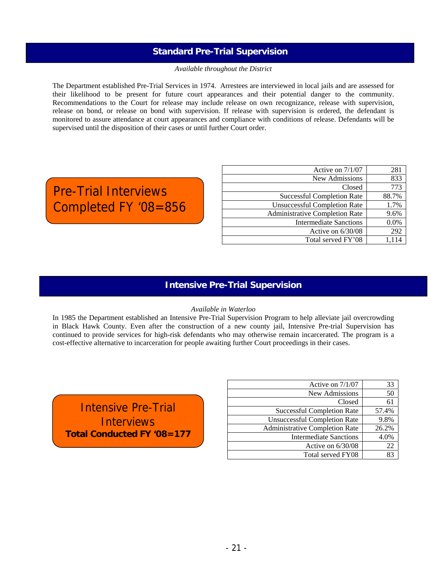### **Standard Pre-Trial Supervision**

#### *Available throughout the District*

The Department established Pre-Trial Services in 1974. Arrestees are interviewed in local jails and are assessed for their likelihood to be present for future court appearances and their potential danger to the community. Recommendations to the Court for release may include release on own recognizance, release with supervision, release on bond, or release on bond with supervision. If release with supervision is ordered, the defendant is monitored to assure attendance at court appearances and compliance with conditions of release. Defendants will be supervised until the disposition of their cases or until further Court order.

# Pre-Trial Interviews Completed FY '08=856

| Active on 7/1/07                      | 281   |
|---------------------------------------|-------|
| New Admissions                        | 833   |
| Closed                                | 773   |
| <b>Successful Completion Rate</b>     | 88.7% |
| <b>Unsuccessful Completion Rate</b>   | 1.7%  |
| <b>Administrative Completion Rate</b> | 9.6%  |
| Intermediate Sanctions                | 0.0%  |
| Active on $6/30/08$                   | 292   |
| Total served FY'08                    | 1.114 |

### **Intensive Pre-Trial Supervision**

### *Available in Waterloo*

In 1985 the Department established an Intensive Pre-Trial Supervision Program to help alleviate jail overcrowding in Black Hawk County. Even after the construction of a new county jail, Intensive Pre-trial Supervision has continued to provide services for high-risk defendants who may otherwise remain incarcerated. The program is a cost-effective alternative to incarceration for people awaiting further Court proceedings in their cases.

Intensive Pre-Trial **Interviews Total Conducted FY '08=177** 

Í

| Active on 7/1/07                      | 33    |
|---------------------------------------|-------|
| New Admissions                        | 50    |
| Closed                                | 61    |
| <b>Successful Completion Rate</b>     | 57.4% |
| <b>Unsuccessful Completion Rate</b>   | 9.8%  |
| <b>Administrative Completion Rate</b> | 26.2% |
| <b>Intermediate Sanctions</b>         | 4.0%  |
| Active on 6/30/08                     | 22    |
| Total served FY08                     |       |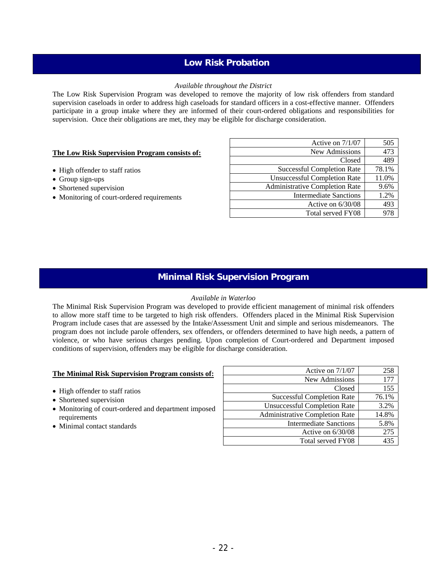### **Low Risk Probation**

### *Available throughout the District*

The Low Risk Supervision Program was developed to remove the majority of low risk offenders from standard supervision caseloads in order to address high caseloads for standard officers in a cost-effective manner. Offenders participate in a group intake where they are informed of their court-ordered obligations and responsibilities for supervision. Once their obligations are met, they may be eligible for discharge consideration.

### **The Low Risk Supervision Program consists of:**

- High offender to staff ratios
- Group sign-ups
- Shortened supervision
- Monitoring of court-ordered requirements

| Active on 7/1/07                    | 505   |
|-------------------------------------|-------|
| New Admissions                      | 473   |
| Closed                              | 489   |
| <b>Successful Completion Rate</b>   | 78.1% |
| <b>Unsuccessful Completion Rate</b> | 11.0% |
| Administrative Completion Rate      | 9.6%  |
| <b>Intermediate Sanctions</b>       | 1.2%  |
| Active on $6/30/08$                 | 493   |
| Total served FY08                   |       |

### **Minimal Risk Supervision Program**

#### *Available in Waterloo*

The Minimal Risk Supervision Program was developed to provide efficient management of minimal risk offenders to allow more staff time to be targeted to high risk offenders. Offenders placed in the Minimal Risk Supervision Program include cases that are assessed by the Intake/Assessment Unit and simple and serious misdemeanors. The program does not include parole offenders, sex offenders, or offenders determined to have high needs, a pattern of violence, or who have serious charges pending. Upon completion of Court-ordered and Department imposed conditions of supervision, offenders may be eligible for discharge consideration.

### **The Minimal Risk Supervision Program consists of:**

- High offender to staff ratios
- Shortened supervision
- Monitoring of court-ordered and department imposed requirements
- Minimal contact standards

| Active on $7/1/07$                    | 258             |
|---------------------------------------|-----------------|
| New Admissions                        | 177             |
| Closed                                | 155             |
| <b>Successful Completion Rate</b>     | 76.1%           |
| <b>Unsuccessful Completion Rate</b>   | 3.2%            |
| <b>Administrative Completion Rate</b> | 14.8%           |
| <b>Intermediate Sanctions</b>         | 5.8%            |
| Active on 6/30/08                     | 275             |
| Total served FY08                     | 43 <sup>5</sup> |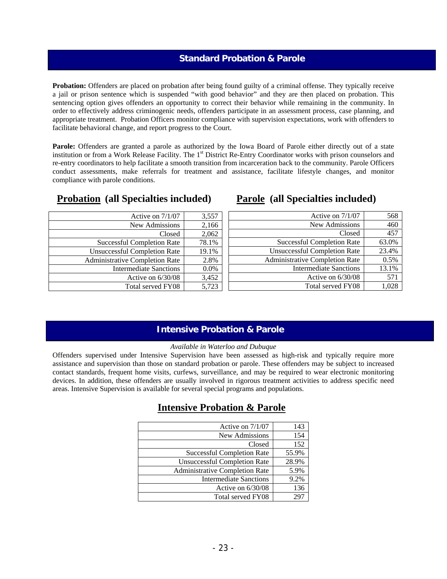### **Standard Probation & Parole**

**Probation:** Offenders are placed on probation after being found guilty of a criminal offense. They typically receive a jail or prison sentence which is suspended "with good behavior" and they are then placed on probation. This sentencing option gives offenders an opportunity to correct their behavior while remaining in the community. In order to effectively address criminogenic needs, offenders participate in an assessment process, case planning, and appropriate treatment. Probation Officers monitor compliance with supervision expectations, work with offenders to facilitate behavioral change, and report progress to the Court.

**Parole:** Offenders are granted a parole as authorized by the Iowa Board of Parole either directly out of a state institution or from a Work Release Facility. The 1<sup>st</sup> District Re-Entry Coordinator works with prison counselors and re-entry coordinators to help facilitate a smooth transition from incarceration back to the community. Parole Officers conduct assessments, make referrals for treatment and assistance, facilitate lifestyle changes, and monitor compliance with parole conditions.

| <b>Probation</b> (all Specialties included) |  |  |
|---------------------------------------------|--|--|
|                                             |  |  |

| Active on $7/1/07$                    | 3,557 |
|---------------------------------------|-------|
| New Admissions                        | 2,166 |
| Closed                                | 2,062 |
| <b>Successful Completion Rate</b>     | 78.1% |
| <b>Unsuccessful Completion Rate</b>   | 19.1% |
| <b>Administrative Completion Rate</b> | 2.8%  |
| <b>Intermediate Sanctions</b>         | 0.0%  |
| Active on 6/30/08                     | 3,452 |
| Total served FY08                     | 5.723 |

# **Parole (all Specialties included)**

| Active on 7/1/07                      | 568   |
|---------------------------------------|-------|
| New Admissions                        | 460   |
| Closed                                | 457   |
| <b>Successful Completion Rate</b>     | 63.0% |
| <b>Unsuccessful Completion Rate</b>   | 23.4% |
| <b>Administrative Completion Rate</b> | 0.5%  |
| <b>Intermediate Sanctions</b>         | 13.1% |
| Active on 6/30/08                     | 571   |
| Total served FY08                     |       |

### **Intensive Probation & Parole**

### *Available in Waterloo and Dubuque*

Offenders supervised under Intensive Supervision have been assessed as high-risk and typically require more assistance and supervision than those on standard probation or parole. These offenders may be subject to increased contact standards, frequent home visits, curfews, surveillance, and may be required to wear electronic monitoring devices. In addition, these offenders are usually involved in rigorous treatment activities to address specific need areas. Intensive Supervision is available for several special programs and populations.

# **Intensive Probation & Parole**

| Active on $7/1/07$                    | 143   |
|---------------------------------------|-------|
| New Admissions                        | 154   |
| Closed                                | 152   |
| <b>Successful Completion Rate</b>     | 55.9% |
| <b>Unsuccessful Completion Rate</b>   | 28.9% |
| <b>Administrative Completion Rate</b> | 5.9%  |
| <b>Intermediate Sanctions</b>         | 9.2%  |
| Active on $6/30/08$                   | 136   |
| Total served FY08                     | 79    |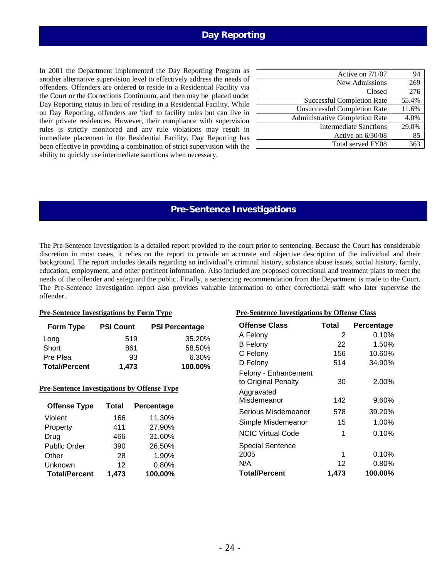# **Day Reporting**

In 2001 the Department implemented the Day Reporting Program as another alternative supervision level to effectively address the needs of offenders. Offenders are ordered to reside in a Residential Facility via the Court or the Corrections Continuum, and then may be placed under Day Reporting status in lieu of residing in a Residential Facility. While on Day Reporting, offenders are 'tied' to facility rules but can live in their private residences. However, their compliance with supervision rules is strictly monitored and any rule violations may result in immediate placement in the Residential Facility. Day Reporting has been effective in providing a combination of strict supervision with the ability to quickly use intermediate sanctions when necessary.

| Active on $7/1/07$                    | 94    |
|---------------------------------------|-------|
| New Admissions                        | 269   |
| Closed                                | 276   |
| <b>Successful Completion Rate</b>     | 55.4% |
| <b>Unsuccessful Completion Rate</b>   | 11.6% |
| <b>Administrative Completion Rate</b> | 4.0%  |
| <b>Intermediate Sanctions</b>         | 29.0% |
| Active on $6/30/08$                   | 85    |
| Total served FY08                     | 363   |

### **Pre-Sentence Investigations**

The Pre-Sentence Investigation is a detailed report provided to the court prior to sentencing. Because the Court has considerable discretion in most cases, it relies on the report to provide an accurate and objective description of the individual and their background. The report includes details regarding an individual's criminal history, substance abuse issues, social history, family, education, employment, and other pertinent information. Also included are proposed correctional and treatment plans to meet the needs of the offender and safeguard the public. Finally, a sentencing recommendation from the Department is made to the Court. The Pre-Sentence Investigation report also provides valuable information to other correctional staff who later supervise the offender.

| Form Type            | <b>PSI Count</b> | <b>PSI Percentage</b> |
|----------------------|------------------|-----------------------|
| Long                 | 519              | 35.20%                |
| Short                | 861              | 58.50%                |
| Pre Plea             | 93               | 6.30%                 |
| <b>Total/Percent</b> | 1.473            | 100.00%               |

### **Pre-Sentence Investigations by Offense Type**

| <b>Offense Type</b>  | <b>Total</b> | Percentage |
|----------------------|--------------|------------|
| Violent              | 166          | 11.30%     |
| Property             | 411          | 27.90%     |
| Drug                 | 466          | 31.60%     |
| <b>Public Order</b>  | 390          | 26.50%     |
| Other                | 28           | 1.90%      |
| Unknown              | 12           | 0.80%      |
| <b>Total/Percent</b> | 1,473        | 100.00%    |

#### **Pre-Sentence Investigations by Form Type Pre-Sentence Investigations by Offense Class**

| <b>Offense Class</b>                                      | Total | Percentage |
|-----------------------------------------------------------|-------|------------|
| A Felony                                                  | 2     | $0.10\%$   |
| <b>B</b> Felony                                           | 22    | 1.50%      |
| C Felony                                                  | 156   | 10.60%     |
| D Felony                                                  | 514   | 34.90%     |
| Felony - Enhancement<br>to Original Penalty<br>Aggravated | 30    | 2.00%      |
| Misdemeanor                                               | 142   | $9.60\%$   |
| Serious Misdemeanor                                       | 578   | 39.20%     |
| Simple Misdemeanor                                        | 15    | $1.00\%$   |
| <b>NCIC Virtual Code</b>                                  | 1     | 0.10%      |
| <b>Special Sentence</b>                                   |       |            |
| 2005                                                      | 1     | 0.10%      |
| N/A                                                       | 12    | 0.80%      |
| <b>Total/Percent</b>                                      | 1,473 | 100.00%    |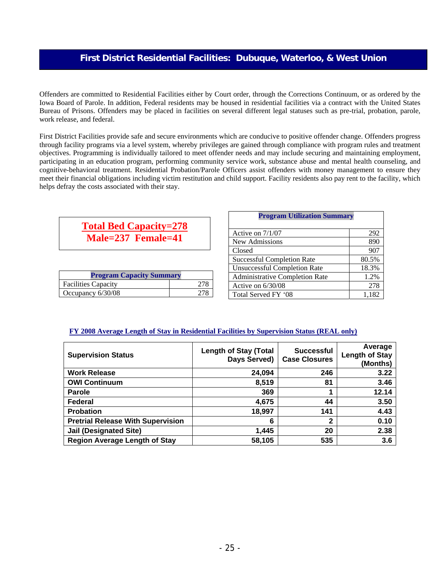### **First District Residential Facilities: Dubuque, Waterloo, & West Union**

Offenders are committed to Residential Facilities either by Court order, through the Corrections Continuum, or as ordered by the Iowa Board of Parole. In addition, Federal residents may be housed in residential facilities via a contract with the United States Bureau of Prisons. Offenders may be placed in facilities on several different legal statuses such as pre-trial, probation, parole, work release, and federal.

First District Facilities provide safe and secure environments which are conducive to positive offender change. Offenders progress through facility programs via a level system, whereby privileges are gained through compliance with program rules and treatment objectives. Programming is individually tailored to meet offender needs and may include securing and maintaining employment, participating in an education program, performing community service work, substance abuse and mental health counseling, and cognitive-behavioral treatment. Residential Probation/Parole Officers assist offenders with money management to ensure they meet their financial obligations including victim restitution and child support. Facility residents also pay rent to the facility, which helps defray the costs associated with their stay.

# **Total Bed Capacity=278 Male=237 Female=41**

| <b>Program Capacity Summary</b> |  |  |
|---------------------------------|--|--|
| <b>Facilities Capacity</b>      |  |  |
| Occupancy 6/30/08               |  |  |

| <b>Program Utilization Summary</b>    |       |  |
|---------------------------------------|-------|--|
| Active on $7/1/07$                    | 292   |  |
| New Admissions                        | 890   |  |
| Closed                                | 907   |  |
| <b>Successful Completion Rate</b>     | 80.5% |  |
| <b>Unsuccessful Completion Rate</b>   | 18.3% |  |
| <b>Administrative Completion Rate</b> | 1.2%  |  |
| Active on $6/30/08$                   | 278   |  |
| Total Served FY '08                   | 1.182 |  |

### **FY 2008 Average Length of Stay in Residential Facilities by Supervision Status (REAL only)**

| <b>Supervision Status</b>                | <b>Length of Stay (Total</b><br>Days Served) | <b>Successful</b><br><b>Case Closures</b> | Average<br><b>Length of Stay</b><br>(Months) |
|------------------------------------------|----------------------------------------------|-------------------------------------------|----------------------------------------------|
| <b>Work Release</b>                      | 24,094                                       | 246                                       | 3.22                                         |
| <b>OWI Continuum</b>                     | 8,519                                        | 81                                        | 3.46                                         |
| <b>Parole</b>                            | 369                                          | 1                                         | 12.14                                        |
| Federal                                  | 4,675                                        | 44                                        | 3.50                                         |
| <b>Probation</b>                         | 18,997                                       | 141                                       | 4.43                                         |
| <b>Pretrial Release With Supervision</b> | 6                                            | 2                                         | 0.10                                         |
| <b>Jail (Designated Site)</b>            | 1,445                                        | 20                                        | 2.38                                         |
| <b>Region Average Length of Stay</b>     | 58,105                                       | 535                                       | 3.6                                          |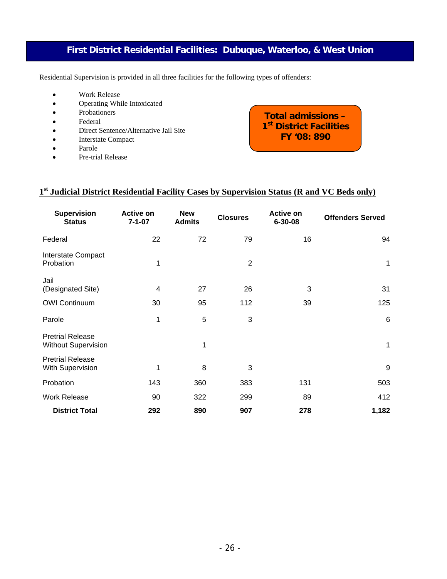# **First District Residential Facilities: Dubuque, Waterloo, & West Union**

Residential Supervision is provided in all three facilities for the following types of offenders:

- Work Release
- Operating While Intoxicated
- Probationers
- Federal
- Direct Sentence/Alternative Jail Site
- Interstate Compact
- Parole
- Pre-trial Release

**Total admissions – 1st District Facilities FY '08: 890**

### **1st Judicial District Residential Facility Cases by Supervision Status (R and VC Beds only)**

| <b>Supervision</b><br><b>Status</b>                   | <b>Active on</b><br>$7 - 1 - 07$ | <b>New</b><br><b>Admits</b> | <b>Closures</b> | <b>Active on</b><br>$6 - 30 - 08$ | <b>Offenders Served</b> |
|-------------------------------------------------------|----------------------------------|-----------------------------|-----------------|-----------------------------------|-------------------------|
| Federal                                               | 22                               | 72                          | 79              | 16                                | 94                      |
| Interstate Compact<br>Probation                       | 1                                |                             | $\overline{2}$  |                                   | 1                       |
| Jail<br>(Designated Site)                             | 4                                | 27                          | 26              | 3                                 | 31                      |
| <b>OWI Continuum</b>                                  | 30                               | 95                          | 112             | 39                                | 125                     |
| Parole                                                | 1                                | 5                           | 3               |                                   | $\,6\,$                 |
| <b>Pretrial Release</b><br><b>Without Supervision</b> |                                  | 1                           |                 |                                   | 1                       |
| <b>Pretrial Release</b><br>With Supervision           | 1                                | 8                           | 3               |                                   | 9                       |
| Probation                                             | 143                              | 360                         | 383             | 131                               | 503                     |
| <b>Work Release</b>                                   | 90                               | 322                         | 299             | 89                                | 412                     |
| <b>District Total</b>                                 | 292                              | 890                         | 907             | 278                               | 1,182                   |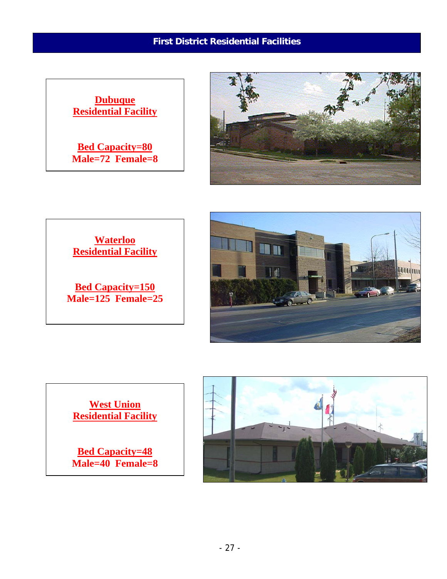# **First District Residential Facilities**









**West Union Residential Facility**

**Bed Capacity=48 Male=40 Female=8** 

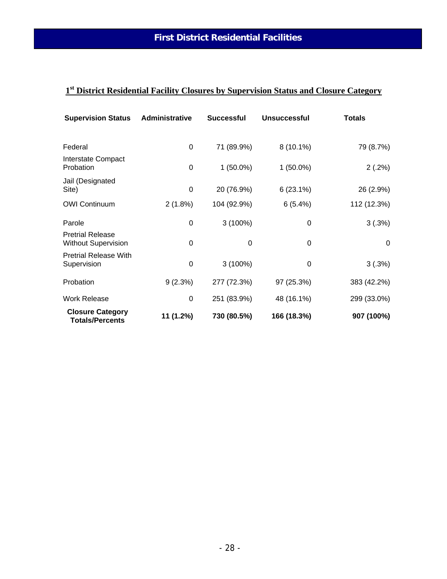# **1st District Residential Facility Closures by Supervision Status and Closure Category**

| <b>Supervision Status</b>                             | Administrative | <b>Successful</b> | <b>Unsuccessful</b> | <b>Totals</b> |
|-------------------------------------------------------|----------------|-------------------|---------------------|---------------|
| Federal                                               | 0              | 71 (89.9%)        | $8(10.1\%)$         | 79 (8.7%)     |
| Interstate Compact<br>Probation                       | 0              | $1(50.0\%)$       | $1(50.0\%)$         | 2(.2%)        |
| Jail (Designated<br>Site)                             | 0              | 20 (76.9%)        | $6(23.1\%)$         | 26 (2.9%)     |
| <b>OWI Continuum</b>                                  | $2(1.8\%)$     | 104 (92.9%)       | 6(5.4%)             | 112 (12.3%)   |
| Parole                                                | 0              | $3(100\%)$        | 0                   | 3(.3%)        |
| <b>Pretrial Release</b><br><b>Without Supervision</b> | 0              | 0                 | 0                   | 0             |
| <b>Pretrial Release With</b><br>Supervision           | 0              | $3(100\%)$        | 0                   | 3(.3%)        |
| Probation                                             | 9(2.3%)        | 277 (72.3%)       | 97 (25.3%)          | 383 (42.2%)   |
| <b>Work Release</b>                                   | 0              | 251 (83.9%)       | 48 (16.1%)          | 299 (33.0%)   |
| <b>Closure Category</b><br><b>Totals/Percents</b>     | 11 (1.2%)      | 730 (80.5%)       | 166 (18.3%)         | 907 (100%)    |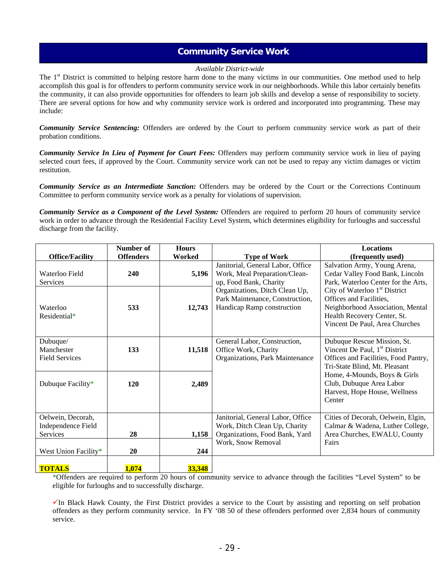### **Community Service Work**

### *Available District-wide*

The 1<sup>st</sup> District is committed to helping restore harm done to the many victims in our communities. One method used to help accomplish this goal is for offenders to perform community service work in our neighborhoods. While this labor certainly benefits the community, it can also provide opportunities for offenders to learn job skills and develop a sense of responsibility to society. There are several options for how and why community service work is ordered and incorporated into programming. These may include:

*Community Service Sentencing:* Offenders are ordered by the Court to perform community service work as part of their probation conditions.

*Community Service In Lieu of Payment for Court Fees:* Offenders may perform community service work in lieu of paying selected court fees, if approved by the Court. Community service work can not be used to repay any victim damages or victim restitution.

*Community Service as an Intermediate Sanction:* Offenders may be ordered by the Court or the Corrections Continuum Committee to perform community service work as a penalty for violations of supervision.

*Community Service as a Component of the Level System:* Offenders are required to perform 20 hours of community service work in order to advance through the Residential Facility Level System, which determines eligibility for furloughs and successful discharge from the facility.

|                                                 | Number of        | <b>Hours</b> |                                                                                                 | <b>Locations</b>                                                                                                                                                          |
|-------------------------------------------------|------------------|--------------|-------------------------------------------------------------------------------------------------|---------------------------------------------------------------------------------------------------------------------------------------------------------------------------|
| <b>Office/Facility</b>                          | <b>Offenders</b> | Worked       | <b>Type of Work</b>                                                                             | (frequently used)                                                                                                                                                         |
| Waterloo Field<br><b>Services</b>               | 240              | 5,196        | Janitorial, General Labor, Office<br>Work, Meal Preparation/Clean-<br>up, Food Bank, Charity    | Salvation Army, Young Arena,<br>Cedar Valley Food Bank, Lincoln<br>Park, Waterloo Center for the Arts,                                                                    |
| Waterloo<br>Residential*                        | 533              | 12,743       | Organizations, Ditch Clean Up,<br>Park Maintenance, Construction,<br>Handicap Ramp construction | City of Waterloo 1 <sup>st</sup> District<br>Offices and Facilities,<br>Neighborhood Association, Mental<br>Health Recovery Center, St.<br>Vincent De Paul, Area Churches |
| Dubuque/<br>Manchester<br><b>Field Services</b> | 133              | 11,518       | General Labor, Construction,<br>Office Work, Charity<br>Organizations, Park Maintenance         | Dubuque Rescue Mission, St.<br>Vincent De Paul, 1 <sup>st</sup> District<br>Offices and Facilities, Food Pantry,<br>Tri-State Blind, Mt. Pleasant                         |
| Dubuque Facility*                               | 120              | 2,489        |                                                                                                 | Home, 4-Mounds, Boys & Girls<br>Club, Dubuque Area Labor<br>Harvest, Hope House, Wellness<br>Center                                                                       |
| Oelwein, Decorah,<br>Independence Field         |                  |              | Janitorial, General Labor, Office<br>Work, Ditch Clean Up, Charity                              | Cities of Decorah, Oelwein, Elgin,<br>Calmar & Wadena, Luther College,                                                                                                    |
| <b>Services</b>                                 | 28               | 1,158        | Organizations, Food Bank, Yard                                                                  | Area Churches, EWALU, County                                                                                                                                              |
| West Union Facility*                            | 20               | 244          | Work, Snow Removal                                                                              | Fairs                                                                                                                                                                     |
| <b>TOTALS</b>                                   | 1,074            | 33,348       |                                                                                                 |                                                                                                                                                                           |

\*Offenders are required to perform 20 hours of community service to advance through the facilities "Level System" to be eligible for furloughs and to successfully discharge.

 $\checkmark$ In Black Hawk County, the First District provides a service to the Court by assisting and reporting on self probation offenders as they perform community service. In FY '08 50 of these offenders performed over 2,834 hours of community service.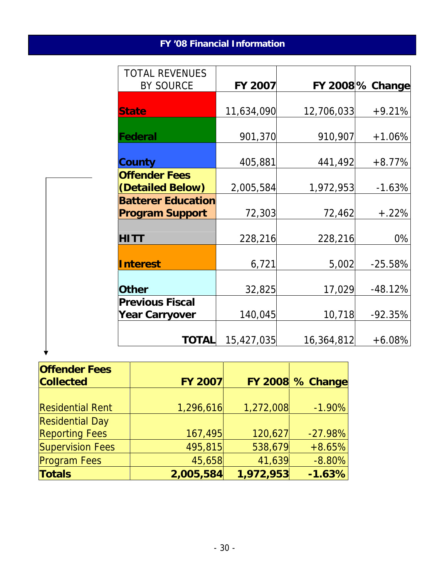# **FY '08 Financial Information**

| <b>TOTAL REVENUES</b>                               |            |            |                         |
|-----------------------------------------------------|------------|------------|-------------------------|
| <b>BY SOURCE</b>                                    | FY 2007    |            | <b>FY 2008 % Change</b> |
| <b>State</b>                                        | 11,634,090 | 12,706,033 | $+9.21%$                |
| Federal                                             | 901,370    | 910,907    | $+1.06%$                |
| <b>County</b>                                       | 405,881    | 441,492    | $+8.77%$                |
| <b>Offender Fees</b><br>(Detailed Below)            | 2,005,584  | 1,972,953  | $-1.63%$                |
| <b>Batterer Education</b><br><b>Program Support</b> | 72,303     | 72,462     | $+.22%$                 |
| <b>HITT</b>                                         | 228,216    | 228,216    | 0%                      |
| <b>Interest</b>                                     | 6,721      | 5,002      | $-25.58%$               |
| <b>Other</b>                                        | 32,825     | 17,029     | $-48.12%$               |
| <b>Previous Fiscal</b><br><b>Year Carryover</b>     | 140,045    | 10,718     | $-92.35%$               |
| <b>TOTAL</b>                                        | 15,427,035 | 16,364,812 | $+6.08%$                |

| <b>Offender Fees</b>    |                |           |                         |
|-------------------------|----------------|-----------|-------------------------|
| <b>Collected</b>        | <b>FY 2007</b> |           | <b>FY 2008 % Change</b> |
|                         |                |           |                         |
| <b>Residential Rent</b> | 1,296,616      | 1,272,008 | $-1.90%$                |
| <b>Residential Day</b>  |                |           |                         |
| <b>Reporting Fees</b>   | 167,495        | 120,627   | $-27.98%$               |
| <b>Supervision Fees</b> | 495,815        | 538,679   | $+8.65%$                |
| <b>Program Fees</b>     | 45,658         | 41,639    | $-8.80%$                |
| <b>Totals</b>           | 2,005,584      | 1,972,953 | $-1.63%$                |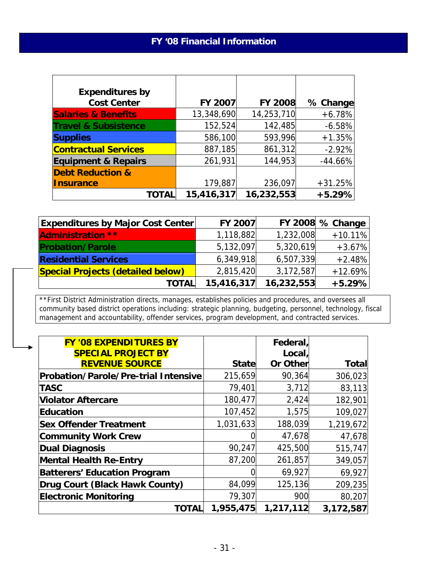| <b>Expenditures by</b>          |            |                |           |
|---------------------------------|------------|----------------|-----------|
| <b>Cost Center</b>              | FY 2007    | <b>FY 2008</b> | % Change  |
| <b>Salaries &amp; Benefits</b>  | 13,348,690 | 14,253,710     | $+6.78%$  |
| <b>Travel &amp; Subsistence</b> | 152,524    | 142,485        | $-6.58%$  |
| <b>Supplies</b>                 | 586,100    | 593,996        | $+1.35%$  |
| <b>Contractual Services</b>     | 887,185    | 861,312        | $-2.92%$  |
| <b>Equipment &amp; Repairs</b>  | 261,931    | 144,953        | $-44.66%$ |
| <b>Debt Reduction &amp;</b>     |            |                |           |
| <b>Insurance</b>                | 179,887    | 236,097        | $+31.25%$ |
| TOTAL                           | 15,416,317 | 16,232,553     | $+5.29%$  |

| <b>Expenditures by Major Cost Center</b> | FY 2007    |            | FY 2008 $%$ Change |
|------------------------------------------|------------|------------|--------------------|
| <b>Administration **</b>                 | 1,118,882  | 1,232,008  | $+10.11%$          |
| <b>Probation/Parole</b>                  | 5,132,097  | 5,320,619  | $+3.67%$           |
| <b>Residential Services</b>              | 6,349,918  | 6,507,339  | $+2.48%$           |
| <b>Special Projects (detailed below)</b> | 2,815,420  | 3,172,587  | $+12.69%$          |
| <b>TOTAL</b>                             | 15,416,317 | 16,232,553 | $+5.29%$           |

\*\*First District Administration directs, manages, establishes policies and procedures, and oversees all community based district operations including: strategic planning, budgeting, personnel, technology, fiscal management and accountability, offender services, program development, and contracted services.

| <b>FY '08 EXPENDITURES BY</b>               |              | Federal,        |              |
|---------------------------------------------|--------------|-----------------|--------------|
| <b>SPECIAL PROJECT BY</b>                   |              | Local,          |              |
| <b>REVENUE SOURCE</b>                       | <b>State</b> | <b>Or Other</b> | <b>Total</b> |
| <b>Probation/Parole/Pre-trial Intensive</b> | 215,659      | 90,364          | 306,023      |
| <b>TASC</b>                                 | 79,401       | 3,712           | 83,113       |
| <b>Violator Aftercare</b>                   | 180,477      | 2,424           | 182,901      |
| Education                                   | 107,452      | 1,575           | 109,027      |
| <b>Sex Offender Treatment</b>               | 1,031,633    | 188,039         | 1,219,672    |
| <b>Community Work Crew</b>                  |              | 47,678          | 47,678       |
| Dual Diagnosis                              | 90,247       | 425,500         | 515,747      |
| <b>Mental Health Re-Entry</b>               | 87,200       | 261,857         | 349,057      |
| <b>Batterers' Education Program</b>         |              | 69,927          | 69,927       |
| Drug Court (Black Hawk County)              | 84,099       | 125,136         | 209,235      |
| <b>Electronic Monitoring</b>                | 79,307       | 900             | 80,207       |
| <b>TOTAL</b>                                | 1,955,475    | 1,217,112       | 3,172,587    |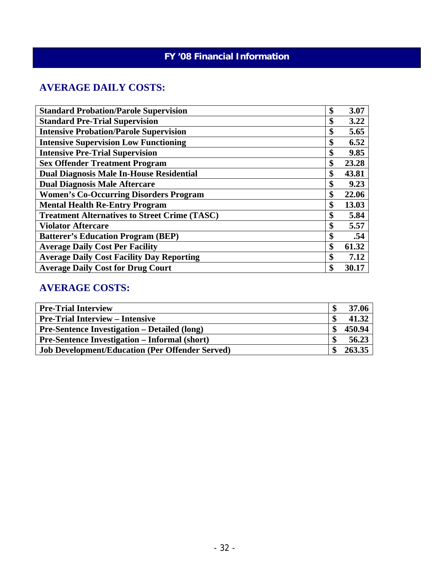# **FY '08 Financial Information**

# **AVERAGE DAILY COSTS:**

| <b>Standard Probation/Parole Supervision</b>         | \$<br>3.07  |
|------------------------------------------------------|-------------|
| <b>Standard Pre-Trial Supervision</b>                | \$<br>3.22  |
| <b>Intensive Probation/Parole Supervision</b>        | \$<br>5.65  |
| <b>Intensive Supervision Low Functioning</b>         | \$<br>6.52  |
| <b>Intensive Pre-Trial Supervision</b>               | \$<br>9.85  |
| <b>Sex Offender Treatment Program</b>                | \$<br>23.28 |
| <b>Dual Diagnosis Male In-House Residential</b>      | \$<br>43.81 |
| <b>Dual Diagnosis Male Aftercare</b>                 | \$<br>9.23  |
| <b>Women's Co-Occurring Disorders Program</b>        | \$<br>22.06 |
| <b>Mental Health Re-Entry Program</b>                | \$<br>13.03 |
| <b>Treatment Alternatives to Street Crime (TASC)</b> | \$<br>5.84  |
| <b>Violator Aftercare</b>                            | \$<br>5.57  |
| <b>Batterer's Education Program (BEP)</b>            | \$<br>.54   |
| <b>Average Daily Cost Per Facility</b>               | \$<br>61.32 |
| <b>Average Daily Cost Facility Day Reporting</b>     | \$<br>7.12  |
| <b>Average Daily Cost for Drug Court</b>             | \$<br>30.17 |

# **AVERAGE COSTS:**

| <b>Pre-Trial Interview</b>                             | 37.06  |
|--------------------------------------------------------|--------|
| <b>Pre-Trial Interview – Intensive</b>                 | 41.32  |
| <b>Pre-Sentence Investigation – Detailed (long)</b>    | 450.94 |
| <b>Pre-Sentence Investigation – Informal (short)</b>   | 56.23  |
| <b>Job Development/Education (Per Offender Served)</b> | 263.35 |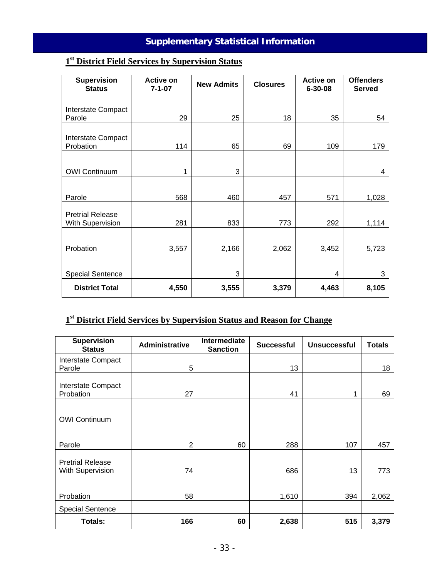# **Supplementary Statistical Information**

# **1st District Field Services by Supervision Status**

| <b>Supervision</b><br><b>Status</b> | <b>Active on</b><br>$7 - 1 - 07$ | <b>New Admits</b> | <b>Closures</b> | Active on<br>$6 - 30 - 08$ | <b>Offenders</b><br><b>Served</b> |
|-------------------------------------|----------------------------------|-------------------|-----------------|----------------------------|-----------------------------------|
|                                     |                                  |                   |                 |                            |                                   |
| Interstate Compact<br>Parole        | 29                               | 25                | 18              | 35                         | 54                                |
|                                     |                                  |                   |                 |                            |                                   |
| Interstate Compact<br>Probation     | 114                              | 65                | 69              | 109                        | 179                               |
|                                     |                                  |                   |                 |                            |                                   |
| <b>OWI Continuum</b>                | 1                                | 3                 |                 |                            | 4                                 |
|                                     |                                  |                   |                 |                            |                                   |
| Parole                              | 568                              | 460               | 457             | 571                        | 1,028                             |
| <b>Pretrial Release</b>             |                                  |                   |                 |                            |                                   |
| With Supervision                    | 281                              | 833               | 773             | 292                        | 1,114                             |
|                                     |                                  |                   |                 |                            |                                   |
| Probation                           | 3,557                            | 2,166             | 2,062           | 3,452                      | 5,723                             |
|                                     |                                  |                   |                 |                            |                                   |
| <b>Special Sentence</b>             |                                  | 3                 |                 | 4                          | 3                                 |
| <b>District Total</b>               | 4,550                            | 3,555             | 3,379           | 4,463                      | 8,105                             |

# **1st District Field Services by Supervision Status and Reason for Change**

| <b>Supervision</b><br><b>Status</b>         | <b>Administrative</b> | Intermediate<br><b>Sanction</b> | <b>Successful</b> | <b>Unsuccessful</b> | <b>Totals</b> |
|---------------------------------------------|-----------------------|---------------------------------|-------------------|---------------------|---------------|
| Interstate Compact<br>Parole                | 5                     |                                 | 13                |                     | 18            |
| Interstate Compact<br>Probation             | 27                    |                                 | 41                | 1                   | 69            |
| <b>OWI Continuum</b>                        |                       |                                 |                   |                     |               |
| Parole                                      | 2                     | 60                              | 288               | 107                 | 457           |
| <b>Pretrial Release</b><br>With Supervision | 74                    |                                 | 686               | 13                  | 773           |
| Probation                                   | 58                    |                                 | 1,610             | 394                 | 2,062         |
| <b>Special Sentence</b>                     |                       |                                 |                   |                     |               |
| <b>Totals:</b>                              | 166                   | 60                              | 2,638             | 515                 | 3,379         |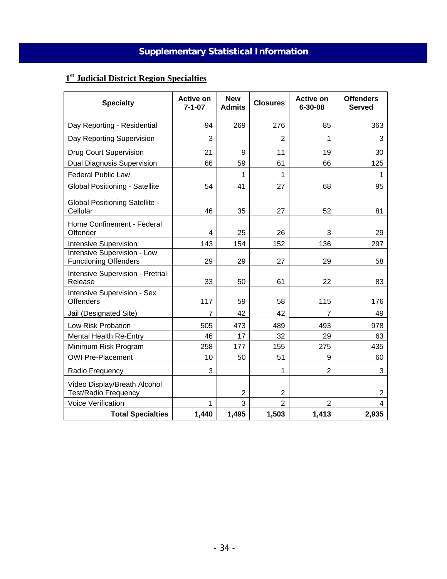# **Supplementary Statistical Information**

# **1st Judicial District Region Specialties**

| <b>Specialty</b>                                            | <b>Active on</b><br>$7 - 1 - 07$ | <b>New</b><br><b>Admits</b> | <b>Closures</b> | <b>Active on</b><br>$6 - 30 - 08$ | <b>Offenders</b><br><b>Served</b> |
|-------------------------------------------------------------|----------------------------------|-----------------------------|-----------------|-----------------------------------|-----------------------------------|
| Day Reporting - Residential                                 | 94                               | 269                         | 276             | 85                                | 363                               |
| Day Reporting Supervision                                   | 3                                |                             | $\overline{2}$  | 1                                 | 3                                 |
| <b>Drug Court Supervision</b>                               | 21                               | 9                           | 11              | 19                                | 30                                |
| <b>Dual Diagnosis Supervision</b>                           | 66                               | 59                          | 61              | 66                                | 125                               |
| <b>Federal Public Law</b>                                   |                                  | 1                           | 1               |                                   | 1                                 |
| Global Positioning - Satellite                              | 54                               | 41                          | 27              | 68                                | 95                                |
| <b>Global Positioning Satellite -</b><br>Cellular           | 46                               | 35                          | 27              | 52                                | 81                                |
| Home Confinement - Federal<br>Offender                      | 4                                | 25                          | 26              | 3                                 | 29                                |
| <b>Intensive Supervision</b>                                | 143                              | 154                         | 152             | 136                               | 297                               |
| Intensive Supervision - Low<br><b>Functioning Offenders</b> | 29                               | 29                          | 27              | 29                                | 58                                |
| Intensive Supervision - Pretrial<br>Release                 | 33                               | 50                          | 61              | 22                                | 83                                |
| Intensive Supervision - Sex<br><b>Offenders</b>             | 117                              | 59                          | 58              | 115                               | 176                               |
| Jail (Designated Site)                                      | $\overline{7}$                   | 42                          | 42              | $\overline{7}$                    | 49                                |
| Low Risk Probation                                          | 505                              | 473                         | 489             | 493                               | 978                               |
| <b>Mental Health Re-Entry</b>                               | 46                               | 17                          | 32              | 29                                | 63                                |
| Minimum Risk Program                                        | 258                              | 177                         | 155             | 275                               | 435                               |
| <b>OWI Pre-Placement</b>                                    | 10                               | 50                          | 51              | 9                                 | 60                                |
| Radio Frequency                                             | 3                                |                             | 1               | $\overline{2}$                    | 3                                 |
| Video Display/Breath Alcohol<br><b>Test/Radio Frequency</b> |                                  | $\overline{2}$              | $\overline{2}$  |                                   | $\overline{2}$                    |
| <b>Voice Verification</b>                                   | 1                                | 3                           | $\overline{2}$  | $\overline{2}$                    | 4                                 |
| <b>Total Specialties</b>                                    | 1,440                            | 1,495                       | 1,503           | 1,413                             | 2,935                             |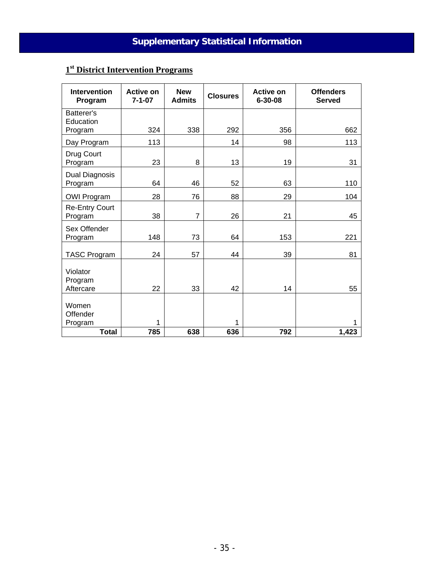# **1st District Intervention Programs**

| <b>Intervention</b><br>Program     | <b>Active on</b><br>$7 - 1 - 07$ | <b>New</b><br><b>Admits</b> | <b>Closures</b> | <b>Active on</b><br>$6 - 30 - 08$ | <b>Offenders</b><br><b>Served</b> |
|------------------------------------|----------------------------------|-----------------------------|-----------------|-----------------------------------|-----------------------------------|
| Batterer's<br>Education<br>Program | 324                              | 338                         | 292             | 356                               | 662                               |
| Day Program                        | 113                              |                             | 14              | 98                                | 113                               |
| Drug Court<br>Program              | 23                               | 8                           | 13              | 19                                | 31                                |
| Dual Diagnosis<br>Program          | 64                               | 46                          | 52              | 63                                | 110                               |
| <b>OWI Program</b>                 | 28                               | 76                          | 88              | 29                                | 104                               |
| <b>Re-Entry Court</b><br>Program   | 38                               | $\overline{7}$              | 26              | 21                                | 45                                |
| Sex Offender<br>Program            | 148                              | 73                          | 64              | 153                               | 221                               |
| <b>TASC Program</b>                | 24                               | 57                          | 44              | 39                                | 81                                |
| Violator<br>Program<br>Aftercare   | 22                               | 33                          | 42              | 14                                | 55                                |
| Women<br>Offender<br>Program       | 1                                |                             | 1               |                                   | 1                                 |
| <b>Total</b>                       | 785                              | 638                         | 636             | 792                               | 1,423                             |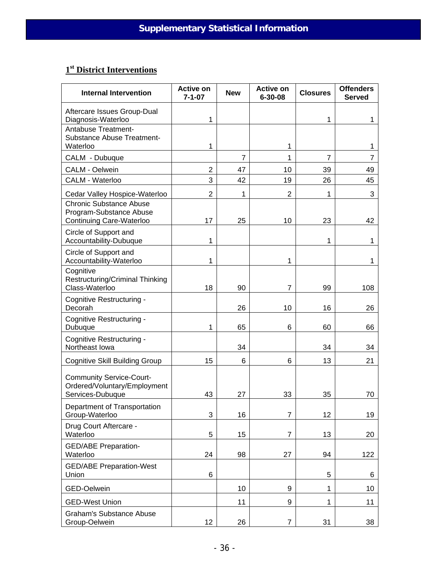# **1st District Interventions**

| <b>Internal Intervention</b>                                                          | <b>Active on</b><br>$7 - 1 - 07$ | <b>New</b> | <b>Active on</b><br>$6 - 30 - 08$ | <b>Closures</b> | <b>Offenders</b><br><b>Served</b> |
|---------------------------------------------------------------------------------------|----------------------------------|------------|-----------------------------------|-----------------|-----------------------------------|
| Aftercare Issues Group-Dual<br>Diagnosis-Waterloo                                     | 1                                |            |                                   | 1               | 1                                 |
| <b>Antabuse Treatment-</b><br><b>Substance Abuse Treatment-</b><br>Waterloo           | 1                                |            | 1                                 |                 | 1                                 |
| CALM - Dubuque                                                                        |                                  | 7          | 1                                 | 7               | 7                                 |
| <b>CALM - Oelwein</b>                                                                 | $\overline{2}$                   | 47         | 10                                | 39              | 49                                |
| CALM - Waterloo                                                                       | 3                                | 42         | 19                                | 26              | 45                                |
| Cedar Valley Hospice-Waterloo                                                         | $\overline{2}$                   | 1          | $\overline{2}$                    | 1               | 3                                 |
| <b>Chronic Substance Abuse</b><br>Program-Substance Abuse<br>Continuing Care-Waterloo | 17                               | 25         | 10                                | 23              | 42                                |
| Circle of Support and<br>Accountability-Dubuque                                       | 1                                |            |                                   | 1               | 1                                 |
| Circle of Support and<br>Accountability-Waterloo                                      | 1                                |            | 1                                 |                 | 1                                 |
| Cognitive<br><b>Restructuring/Criminal Thinking</b><br>Class-Waterloo                 | 18                               | 90         | $\overline{7}$                    | 99              | 108                               |
| Cognitive Restructuring -<br>Decorah                                                  |                                  | 26         | 10                                | 16              | 26                                |
| Cognitive Restructuring -<br>Dubuque                                                  | 1                                | 65         | 6                                 | 60              | 66                                |
| Cognitive Restructuring -<br>Northeast Iowa                                           |                                  | 34         |                                   | 34              | 34                                |
| <b>Cognitive Skill Building Group</b>                                                 | 15                               | 6          | 6                                 | 13              | 21                                |
| <b>Community Service-Court-</b><br>Ordered/Voluntary/Employment<br>Services-Dubuque   | 43                               | 27         | 33                                | 35              | 70                                |
| Department of Transportation                                                          |                                  |            |                                   |                 |                                   |
| Group-Waterloo                                                                        | 3                                | 16         | $\overline{7}$                    | 12              | 19                                |
| Drug Court Aftercare -<br>Waterloo                                                    | 5                                | 15         | 7                                 | 13              | 20                                |
| <b>GED/ABE Preparation-</b><br>Waterloo                                               | 24                               | 98         | 27                                | 94              | 122                               |
| <b>GED/ABE Preparation-West</b><br>Union                                              | 6                                |            |                                   | 5               | 6                                 |
| GED-Oelwein                                                                           |                                  | 10         | 9                                 | 1               | 10                                |
| <b>GED-West Union</b>                                                                 |                                  | 11         | 9                                 | 1               | 11                                |
| <b>Graham's Substance Abuse</b><br>Group-Oelwein                                      | 12                               | 26         | 7                                 | 31              | 38                                |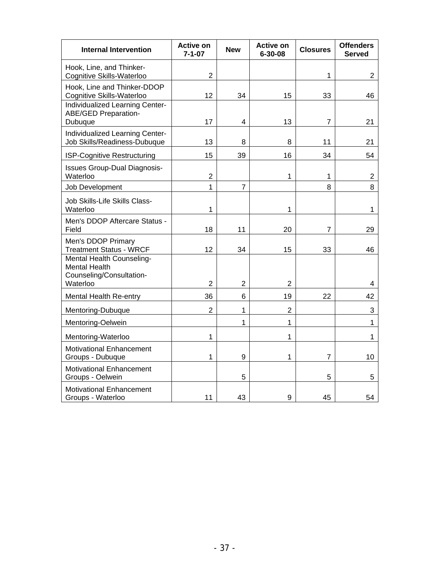| <b>Internal Intervention</b>                                                              | <b>Active on</b><br>$7 - 1 - 07$ | <b>New</b>     | <b>Active on</b><br>6-30-08 | <b>Closures</b> | <b>Offenders</b><br><b>Served</b> |
|-------------------------------------------------------------------------------------------|----------------------------------|----------------|-----------------------------|-----------------|-----------------------------------|
| Hook, Line, and Thinker-<br>Cognitive Skills-Waterloo                                     | $\overline{2}$                   |                |                             | 1               | 2                                 |
| Hook, Line and Thinker-DDOP<br>Cognitive Skills-Waterloo                                  | 12                               | 34             | 15                          | 33              | 46                                |
| Individualized Learning Center-<br>ABE/GED Preparation-<br>Dubuque                        | 17                               | 4              | 13                          | $\overline{7}$  | 21                                |
| Individualized Learning Center-<br>Job Skills/Readiness-Dubuque                           | 13                               | 8              | 8                           | 11              | 21                                |
| ISP-Cognitive Restructuring                                                               | 15                               | 39             | 16                          | 34              | 54                                |
| <b>Issues Group-Dual Diagnosis-</b><br>Waterloo                                           | $\overline{c}$                   |                | 1                           | 1               | $\overline{2}$                    |
| Job Development                                                                           | 1                                | $\overline{7}$ |                             | 8               | 8                                 |
| Job Skills-Life Skills Class-<br>Waterloo                                                 | 1                                |                | 1                           |                 | 1                                 |
| Men's DDOP Aftercare Status -<br>Field                                                    | 18                               | 11             | 20                          | 7               | 29                                |
| Men's DDOP Primary<br><b>Treatment Status - WRCF</b>                                      | 12                               | 34             | 15                          | 33              | 46                                |
| Mental Health Counseling-<br><b>Mental Health</b><br>Counseling/Consultation-<br>Waterloo | $\overline{2}$                   | $\overline{2}$ | $\overline{2}$              |                 | 4                                 |
| Mental Health Re-entry                                                                    | 36                               | 6              | 19                          | 22              | 42                                |
| Mentoring-Dubuque                                                                         | $\overline{2}$                   | 1              | $\overline{2}$              |                 | 3                                 |
| Mentoring-Oelwein                                                                         |                                  | 1              | 1                           |                 | 1                                 |
| Mentoring-Waterloo                                                                        | 1                                |                | 1                           |                 | 1                                 |
| <b>Motivational Enhancement</b><br>Groups - Dubuque                                       | 1                                | 9              | 1                           | 7               | 10                                |
| <b>Motivational Enhancement</b><br>Groups - Oelwein                                       |                                  | 5              |                             | 5               | 5                                 |
| Motivational Enhancement<br>Groups - Waterloo                                             | 11                               | 43             | 9                           | 45              | 54                                |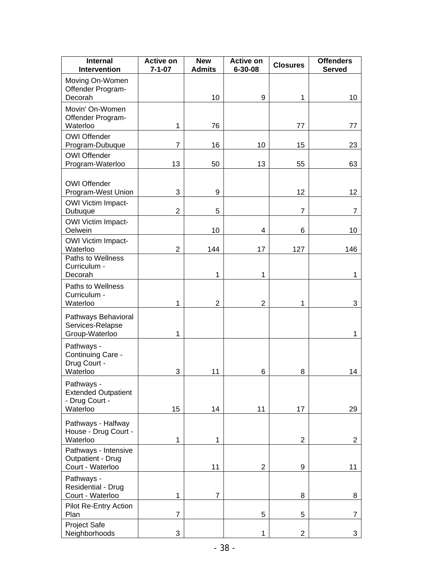| <b>Internal</b><br>Intervention                                        | <b>Active on</b><br>$7 - 1 - 07$ | <b>New</b><br><b>Admits</b> | <b>Active on</b><br>$6 - 30 - 08$ | <b>Closures</b> | <b>Offenders</b><br><b>Served</b> |
|------------------------------------------------------------------------|----------------------------------|-----------------------------|-----------------------------------|-----------------|-----------------------------------|
| Moving On-Women<br>Offender Program-<br>Decorah                        |                                  | 10                          | 9                                 | 1               | 10                                |
| Movin' On-Women<br>Offender Program-<br>Waterloo                       | 1                                | 76                          |                                   | 77              | 77                                |
| <b>OWI Offender</b><br>Program-Dubuque                                 | $\overline{7}$                   | 16                          | 10                                | 15              | 23                                |
| <b>OWI Offender</b><br>Program-Waterloo                                | 13                               | 50                          | 13                                | 55              | 63                                |
| <b>OWI Offender</b><br>Program-West Union                              | 3                                | 9                           |                                   | 12              | 12                                |
| <b>OWI Victim Impact-</b><br>Dubuque                                   | $\overline{2}$                   | 5                           |                                   | 7               | 7                                 |
| <b>OWI Victim Impact-</b><br>Oelwein                                   |                                  | 10                          | 4                                 | 6               | 10                                |
| <b>OWI Victim Impact-</b><br>Waterloo                                  | $\overline{2}$                   | 144                         | 17                                | 127             | 146                               |
| Paths to Wellness<br>Curriculum -<br>Decorah                           |                                  | 1                           | 1                                 |                 | 1                                 |
| Paths to Wellness<br>Curriculum -<br>Waterloo                          | 1                                | $\overline{2}$              | $\overline{2}$                    | 1               | 3                                 |
| Pathways Behavioral<br>Services-Relapse<br>Group-Waterloo              | 1                                |                             |                                   |                 | 1                                 |
| Pathways -<br>Continuing Care -<br>Drug Court -<br>Waterloo            | 3                                | 11                          | 6                                 | 8               | 14                                |
| Pathways -<br><b>Extended Outpatient</b><br>- Drug Court -<br>Waterloo | 15                               | 14                          | 11                                | 17              | 29                                |
| Pathways - Halfway<br>House - Drug Court -<br>Waterloo                 | 1                                | 1                           |                                   | $\overline{2}$  | $\overline{c}$                    |
| Pathways - Intensive<br>Outpatient - Drug<br>Court - Waterloo          |                                  | 11                          | $\overline{2}$                    | 9               | 11                                |
| Pathways -<br>Residential - Drug<br>Court - Waterloo                   | $\mathbf{1}$                     | $\overline{7}$              |                                   | 8               | 8                                 |
| Pilot Re-Entry Action<br>Plan                                          | 7                                |                             | 5                                 | 5               | $\overline{7}$                    |
| Project Safe<br>Neighborhoods                                          | 3                                |                             | 1                                 | $\overline{2}$  | 3                                 |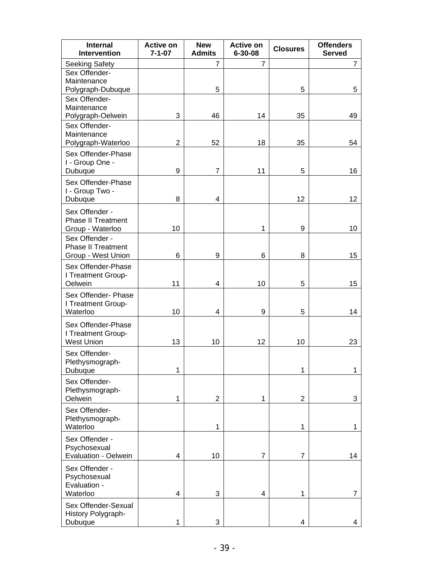| <b>Internal</b><br>Intervention    | <b>Active on</b><br>$7 - 1 - 07$ | <b>New</b><br><b>Admits</b> | <b>Active on</b><br>$6 - 30 - 08$ | <b>Closures</b> | <b>Offenders</b><br><b>Served</b> |
|------------------------------------|----------------------------------|-----------------------------|-----------------------------------|-----------------|-----------------------------------|
| <b>Seeking Safety</b>              |                                  | 7                           | $\overline{7}$                    |                 | $\overline{7}$                    |
| Sex Offender-                      |                                  |                             |                                   |                 |                                   |
| Maintenance                        |                                  |                             |                                   |                 |                                   |
| Polygraph-Dubuque                  |                                  | 5                           |                                   | 5               | 5                                 |
| Sex Offender-                      |                                  |                             |                                   |                 |                                   |
| Maintenance                        |                                  |                             |                                   |                 |                                   |
| Polygraph-Oelwein<br>Sex Offender- | 3                                | 46                          | 14                                | 35              | 49                                |
| Maintenance                        |                                  |                             |                                   |                 |                                   |
| Polygraph-Waterloo                 | $\overline{2}$                   | 52                          | 18                                | 35              | 54                                |
| Sex Offender-Phase                 |                                  |                             |                                   |                 |                                   |
| I - Group One -                    |                                  |                             |                                   |                 |                                   |
| Dubuque                            | 9                                | $\overline{7}$              | 11                                | 5               | 16                                |
| Sex Offender-Phase                 |                                  |                             |                                   |                 |                                   |
| I - Group Two -                    |                                  |                             |                                   |                 |                                   |
| Dubuque                            | 8                                | 4                           |                                   | 12              | 12                                |
| Sex Offender -                     |                                  |                             |                                   |                 |                                   |
| <b>Phase II Treatment</b>          |                                  |                             |                                   |                 |                                   |
| Group - Waterloo                   | 10                               |                             | 1                                 | 9               | 10                                |
| Sex Offender -                     |                                  |                             |                                   |                 |                                   |
| <b>Phase II Treatment</b>          |                                  |                             |                                   |                 |                                   |
| Group - West Union                 | 6                                | 9                           | 6                                 | 8               | 15                                |
| Sex Offender-Phase                 |                                  |                             |                                   |                 |                                   |
| I Treatment Group-                 |                                  |                             |                                   |                 |                                   |
| Oelwein                            | 11                               | 4                           | 10                                | 5               | 15                                |
| Sex Offender- Phase                |                                  |                             |                                   |                 |                                   |
| I Treatment Group-                 |                                  |                             |                                   |                 |                                   |
| Waterloo                           | 10                               | 4                           | 9                                 | 5               | 14                                |
| Sex Offender-Phase                 |                                  |                             |                                   |                 |                                   |
| I Treatment Group-                 |                                  |                             |                                   |                 |                                   |
| <b>West Union</b>                  | 13                               | 10                          | 12                                | 10              | 23                                |
| Sex Offender-                      |                                  |                             |                                   |                 |                                   |
| Plethysmograph-                    |                                  |                             |                                   |                 |                                   |
| Dubuque                            | 1                                |                             |                                   | 1               | 1                                 |
| Sex Offender-                      |                                  |                             |                                   |                 |                                   |
| Plethysmograph-                    |                                  |                             |                                   |                 |                                   |
| Oelwein                            | 1                                | $\overline{2}$              | 1                                 | $\overline{2}$  | 3                                 |
| Sex Offender-                      |                                  |                             |                                   |                 |                                   |
| Plethysmograph-                    |                                  |                             |                                   |                 |                                   |
| Waterloo                           |                                  | 1                           |                                   | 1               | 1                                 |
| Sex Offender -                     |                                  |                             |                                   |                 |                                   |
| Psychosexual                       |                                  |                             |                                   |                 |                                   |
| Evaluation - Oelwein               | 4                                | 10                          | $\overline{7}$                    | $\overline{7}$  | 14                                |
| Sex Offender -                     |                                  |                             |                                   |                 |                                   |
| Psychosexual                       |                                  |                             |                                   |                 |                                   |
| Evaluation -                       |                                  |                             |                                   |                 |                                   |
| Waterloo                           | 4                                | 3                           | 4                                 | 1               | 7                                 |
| Sex Offender-Sexual                |                                  |                             |                                   |                 |                                   |
| History Polygraph-                 |                                  |                             |                                   |                 |                                   |
| Dubuque                            | 1                                | 3                           |                                   | 4               | 4                                 |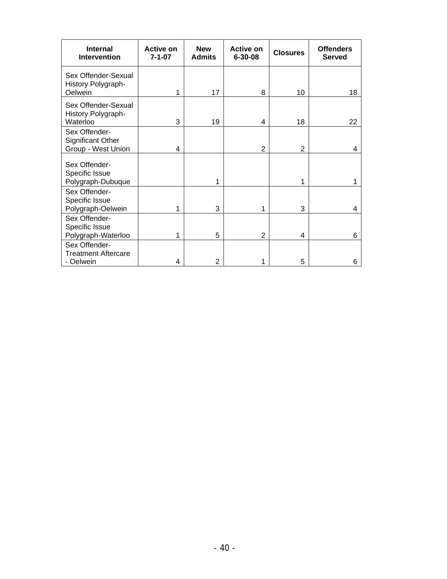| <b>Internal</b><br><b>Intervention</b>                          | <b>Active on</b><br>$7 - 1 - 07$ | <b>New</b><br><b>Admits</b> | Active on<br>$6 - 30 - 08$ | <b>Closures</b> | <b>Offenders</b><br><b>Served</b> |
|-----------------------------------------------------------------|----------------------------------|-----------------------------|----------------------------|-----------------|-----------------------------------|
| Sex Offender-Sexual<br>History Polygraph-<br>Oelwein            | 1                                | 17                          | 8                          | 10              | 18                                |
| Sex Offender-Sexual<br>History Polygraph-<br>Waterloo           | 3                                | 19                          | 4                          | 18              | 22                                |
| Sex Offender-<br><b>Significant Other</b><br>Group - West Union | 4                                |                             | 2                          | 2               | 4                                 |
| Sex Offender-<br>Specific Issue<br>Polygraph-Dubuque            |                                  | 1                           |                            | 1               |                                   |
| Sex Offender-<br>Specific Issue<br>Polygraph-Oelwein            | 1                                | 3                           | 1                          | 3               | 4                                 |
| Sex Offender-<br>Specific Issue<br>Polygraph-Waterloo           | 1                                | 5                           | 2                          | 4               | 6                                 |
| Sex Offender-<br><b>Treatment Aftercare</b><br>- Oelwein        | 4                                | $\overline{2}$              | 1                          | 5               | 6                                 |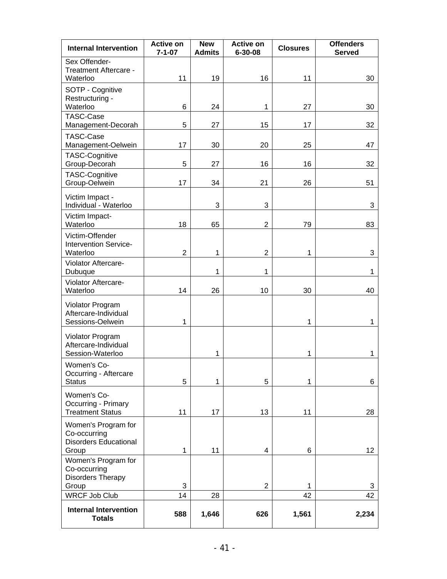| <b>Internal Intervention</b>                                             | <b>Active on</b><br>$7 - 1 - 07$ | <b>New</b><br><b>Admits</b> | <b>Active on</b><br>$6 - 30 - 08$ | <b>Closures</b> | <b>Offenders</b><br><b>Served</b> |
|--------------------------------------------------------------------------|----------------------------------|-----------------------------|-----------------------------------|-----------------|-----------------------------------|
| Sex Offender-<br>Treatment Aftercare -<br>Waterloo                       | 11                               | 19                          | 16                                | 11              | 30                                |
| SOTP - Cognitive<br>Restructuring -                                      |                                  |                             |                                   |                 |                                   |
| Waterloo<br><b>TASC-Case</b>                                             | 6                                | 24                          | 1                                 | 27              | 30                                |
| Management-Decorah                                                       | 5                                | 27                          | 15                                | 17              | 32                                |
| <b>TASC-Case</b><br>Management-Oelwein                                   | 17                               | 30                          | 20                                | 25              | 47                                |
| <b>TASC-Cognitive</b><br>Group-Decorah                                   | 5                                | 27                          | 16                                | 16              | 32                                |
| <b>TASC-Cognitive</b><br>Group-Oelwein                                   | 17                               | 34                          | 21                                | 26              | 51                                |
| Victim Impact -<br>Individual - Waterloo                                 |                                  | 3                           | 3                                 |                 | 3                                 |
| Victim Impact-<br>Waterloo                                               | 18                               | 65                          | $\overline{2}$                    | 79              | 83                                |
| Victim-Offender<br>Intervention Service-<br>Waterloo                     | $\overline{2}$                   | 1                           | $\overline{2}$                    | 1               | 3                                 |
| Violator Aftercare-<br>Dubuque                                           |                                  | 1                           | 1                                 |                 | 1                                 |
| Violator Aftercare-<br>Waterloo                                          | 14                               | 26                          | 10                                | 30              | 40                                |
| Violator Program<br>Aftercare-Individual<br>Sessions-Oelwein             | 1                                |                             |                                   | 1               | 1                                 |
| Violator Program<br>Aftercare-Individual<br>Session-Waterloo             |                                  | 1                           |                                   | 1               | 1                                 |
| Women's Co-<br>Occurring - Aftercare<br><b>Status</b>                    | 5                                | 1                           | 5                                 | 1               | 6                                 |
| Women's Co-<br>Occurring - Primary<br><b>Treatment Status</b>            | 11                               | 17                          | 13                                | 11              | 28                                |
| Women's Program for<br>Co-occurring<br><b>Disorders Educational</b>      |                                  |                             |                                   |                 |                                   |
| Group<br>Women's Program for<br>Co-occurring<br><b>Disorders Therapy</b> | $\mathbf{1}$                     | 11                          | 4                                 | 6               | 12                                |
| Group<br><b>WRCF Job Club</b>                                            | 3<br>14                          | 28                          | $\overline{2}$                    | 1<br>42         | 3<br>42                           |
| <b>Internal Intervention</b><br><b>Totals</b>                            | 588                              | 1,646                       | 626                               | 1,561           | 2,234                             |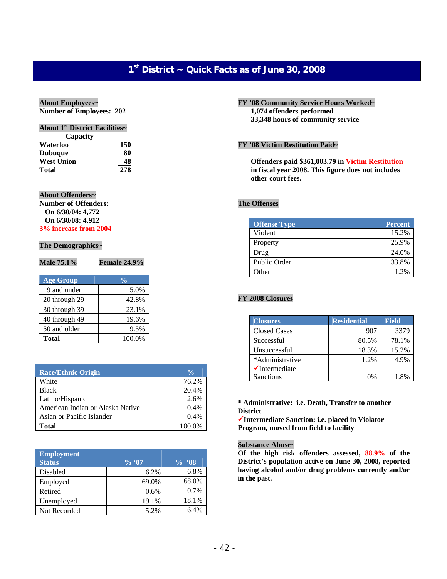# **1st District ~ Quick Facts as of June 30, 2008**

#### **About Employees~**

**Number of Employees: 202** 

### **About 1st District Facilities~**

| Capacity          |     |
|-------------------|-----|
| Waterloo          | 150 |
| <b>Dubuque</b>    | 80  |
| <b>West Union</b> | 48  |
| Total             | 278 |

#### **About Offenders~**

**Number of Offenders: On 6/30/04: 4,772 On 6/30/08: 4,912 3% increase from 2004**

#### **The Demographics~**

| Male 75.1%       | <b>Female 24.9%</b> |
|------------------|---------------------|
| <b>Age Group</b> | $\frac{0}{0}$       |
| 19 and under     | 5.0%                |
| 20 through 29    | 42.8%               |
| 30 through 39    | 23.1%               |
| 40 through 49    | 19.6%               |
| 50 and older     | 9.5%                |

**Total** 100.0%

| <b>Race/Ethnic Origin</b>        | $\frac{0}{0}$ |
|----------------------------------|---------------|
| White                            | 76.2%         |
| <b>Black</b>                     | 20.4%         |
| Latino/Hispanic                  | 2.6%          |
| American Indian or Alaska Native | 0.4%          |
| Asian or Pacific Islander        | 0.4%          |
| <b>Total</b>                     | 100.0%        |

| <b>Employment</b><br><b>Status</b> | $\%$ '07 | $\frac{9}{6}$ . 08 |
|------------------------------------|----------|--------------------|
| Disabled                           | 6.2%     | 6.8%               |
| Employed                           | 69.0%    | 68.0%              |
| Retired                            | 0.6%     | 0.7%               |
| Unemployed                         | 19.1%    | 18.1%              |
| Not Recorded                       | 5.2%     | 6.4%               |

**FY '08 Community Service Hours Worked~ 1,074 offenders performed 33,348 hours of community service** 

### **FY '08 Victim Restitution Paid~**

**Offenders paid \$361,003.79 in Victim Restitution in fiscal year 2008. This figure does not includes other court fees.** 

### **The Offenses**

| <b>Offense Type</b> | <b>Percent</b> |
|---------------------|----------------|
| Violent             | 15.2%          |
| Property            | 25.9%          |
| Drug                | 24.0%          |
| Public Order        | 33.8%          |
| )ther               | 1.2%           |

### **FY 2008 Closures**

| <b>Closures</b>           | <b>Residential</b> | <b>Field</b> |
|---------------------------|--------------------|--------------|
| <b>Closed Cases</b>       | 907                | 3379         |
| Successful                | 80.5%              | 78.1%        |
| Unsuccessful              | 18.3%              | 15.2%        |
| *Administrative           | 1.2%               | 4.9%         |
| $\checkmark$ Intermediate |                    |              |
| <b>Sanctions</b>          | 0%                 | 1.8%         |

#### **\* Administrative: i.e. Death, Transfer to another District**

9**Intermediate Sanction: i.e. placed in Violator Program, moved from field to facility** 

#### **Substance Abuse~**

**Of the high risk offenders assessed, 88.9% of the District's population active on June 30, 2008, reported having alcohol and/or drug problems currently and/or in the past.**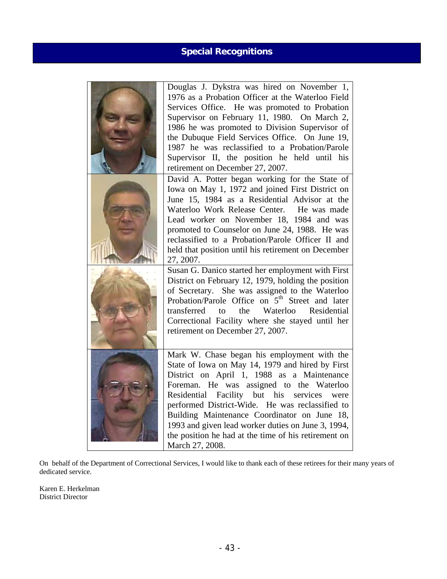# **Special Recognitions**

| Douglas J. Dykstra was hired on November 1,<br>1976 as a Probation Officer at the Waterloo Field<br>Services Office. He was promoted to Probation<br>Supervisor on February 11, 1980. On March 2,<br>1986 he was promoted to Division Supervisor of<br>the Dubuque Field Services Office. On June 19,<br>1987 he was reclassified to a Probation/Parole<br>Supervisor II, the position he held until his<br>retirement on December 27, 2007.                                |
|-----------------------------------------------------------------------------------------------------------------------------------------------------------------------------------------------------------------------------------------------------------------------------------------------------------------------------------------------------------------------------------------------------------------------------------------------------------------------------|
| David A. Potter began working for the State of<br>Iowa on May 1, 1972 and joined First District on<br>June 15, 1984 as a Residential Advisor at the<br>Waterloo Work Release Center. He was made<br>Lead worker on November 18, 1984 and was<br>promoted to Counselor on June 24, 1988. He was<br>reclassified to a Probation/Parole Officer II and<br>held that position until his retirement on December<br>27, 2007.                                                     |
| Susan G. Danico started her employment with First<br>District on February 12, 1979, holding the position<br>of Secretary. She was assigned to the Waterloo<br>Probation/Parole Office on 5 <sup>th</sup> Street and later<br>transferred<br>the Waterloo Residential<br>to<br>Correctional Facility where she stayed until her<br>retirement on December 27, 2007.                                                                                                          |
| Mark W. Chase began his employment with the<br>State of Iowa on May 14, 1979 and hired by First<br>District on April 1, 1988 as a Maintenance<br>Foreman. He was assigned to the Waterloo<br>Residential Facility but his services were<br>performed District-Wide. He was reclassified to<br>Building Maintenance Coordinator on June 18,<br>1993 and given lead worker duties on June 3, 1994,<br>the position he had at the time of his retirement on<br>March 27, 2008. |

On behalf of the Department of Correctional Services, I would like to thank each of these retirees for their many years of dedicated service.

Karen E. Herkelman District Director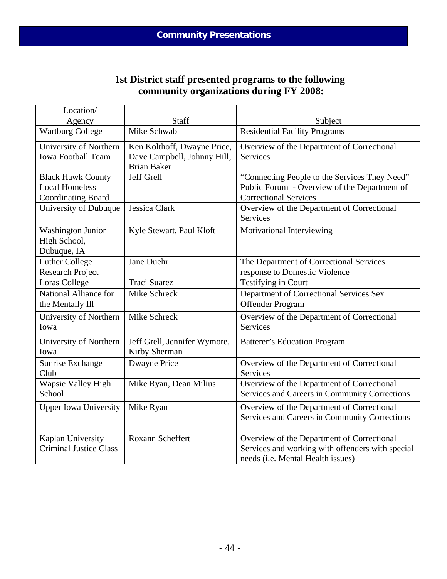# **1st District staff presented programs to the following community organizations during FY 2008:**

| Location/                     |                              |                                                  |
|-------------------------------|------------------------------|--------------------------------------------------|
| Agency                        | Staff                        | Subject                                          |
| <b>Wartburg College</b>       | Mike Schwab                  | <b>Residential Facility Programs</b>             |
| University of Northern        | Ken Kolthoff, Dwayne Price,  | Overview of the Department of Correctional       |
| <b>Iowa Football Team</b>     | Dave Campbell, Johnny Hill,  | <b>Services</b>                                  |
|                               | <b>Brian Baker</b>           |                                                  |
| <b>Black Hawk County</b>      | Jeff Grell                   | "Connecting People to the Services They Need"    |
| <b>Local Homeless</b>         |                              | Public Forum - Overview of the Department of     |
| <b>Coordinating Board</b>     |                              | <b>Correctional Services</b>                     |
| University of Dubuque         | Jessica Clark                | Overview of the Department of Correctional       |
|                               |                              | <b>Services</b>                                  |
| <b>Washington Junior</b>      | Kyle Stewart, Paul Kloft     | Motivational Interviewing                        |
| High School,                  |                              |                                                  |
| Dubuque, IA                   |                              |                                                  |
| <b>Luther College</b>         | Jane Duehr                   | The Department of Correctional Services          |
| <b>Research Project</b>       |                              | response to Domestic Violence                    |
| Loras College                 | <b>Traci Suarez</b>          | Testifying in Court                              |
| National Alliance for         | Mike Schreck                 | Department of Correctional Services Sex          |
| the Mentally Ill              |                              | Offender Program                                 |
| University of Northern        | Mike Schreck                 | Overview of the Department of Correctional       |
| Iowa                          |                              | <b>Services</b>                                  |
| University of Northern        | Jeff Grell, Jennifer Wymore, | <b>Batterer's Education Program</b>              |
| Iowa                          | Kirby Sherman                |                                                  |
| Sunrise Exchange              | <b>Dwayne Price</b>          | Overview of the Department of Correctional       |
| Club                          |                              | <b>Services</b>                                  |
| <b>Wapsie Valley High</b>     | Mike Ryan, Dean Milius       | Overview of the Department of Correctional       |
| School                        |                              | Services and Careers in Community Corrections    |
| <b>Upper Iowa University</b>  | Mike Ryan                    | Overview of the Department of Correctional       |
|                               |                              | Services and Careers in Community Corrections    |
|                               |                              |                                                  |
| Kaplan University             | Roxann Scheffert             | Overview of the Department of Correctional       |
| <b>Criminal Justice Class</b> |                              | Services and working with offenders with special |
|                               |                              | needs (i.e. Mental Health issues)                |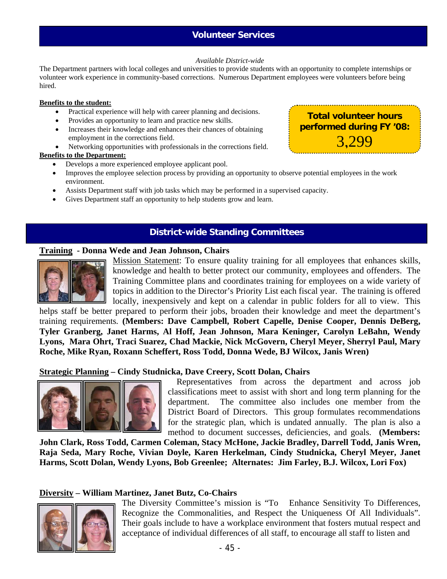### **Volunteer Services**

### *Available District-wide*

The Department partners with local colleges and universities to provide students with an opportunity to complete internships or volunteer work experience in community-based corrections. Numerous Department employees were volunteers before being hired.

### **Benefits to the student:**

- Practical experience will help with career planning and decisions.
- Provides an opportunity to learn and practice new skills.
- Increases their knowledge and enhances their chances of obtaining employment in the corrections field.
- Networking opportunities with professionals in the corrections field.

### **Benefits to the Department:**

- Develops a more experienced employee applicant pool.
- Improves the employee selection process by providing an opportunity to observe potential employees in the work environment.
- Assists Department staff with job tasks which may be performed in a supervised capacity.
- Gives Department staff an opportunity to help students grow and learn.

### **District-wide Standing Committees**

### **Training - Donna Wede and Jean Johnson, Chairs**



Mission Statement: To ensure quality training for all employees that enhances skills, knowledge and health to better protect our community, employees and offenders. The Training Committee plans and coordinates training for employees on a wide variety of topics in addition to the Director's Priority List each fiscal year. The training is offered locally, inexpensively and kept on a calendar in public folders for all to view. This

helps staff be better prepared to perform their jobs, broaden their knowledge and meet the department's training requirements*.* **(Members: Dave Campbell, Robert Capelle, Denise Cooper, Dennis DeBerg, Tyler Granberg, Janet Harms, Al Hoff, Jean Johnson, Mara Keninger, Carolyn LeBahn, Wendy Lyons, Mara Ohrt, Traci Suarez, Chad Mackie, Nick McGovern, Cheryl Meyer, Sherryl Paul, Mary Roche, Mike Ryan, Roxann Scheffert, Ross Todd, Donna Wede, BJ Wilcox, Janis Wren)**

### **Strategic Planning – Cindy Studnicka, Dave Creery, Scott Dolan, Chairs**



 Representatives from across the department and across job classifications meet to assist with short and long term planning for the department. The committee also includes one member from the District Board of Directors. This group formulates recommendations for the strategic plan, which is undated annually. The plan is also a method to document successes, deficiencies, and goals. **(Members:** 

**John Clark, Ross Todd, Carmen Coleman, Stacy McHone, Jackie Bradley, Darrell Todd, Janis Wren, Raja Seda, Mary Roche, Vivian Doyle, Karen Herkelman, Cindy Studnicka, Cheryl Meyer, Janet Harms, Scott Dolan, Wendy Lyons, Bob Greenlee; Alternates: Jim Farley, B.J. Wilcox, Lori Fox)** 

### **Diversity – William Martinez, Janet Butz, Co-Chairs**



The Diversity Committee's mission is "To Enhance Sensitivity To Differences, Recognize the Commonalities, and Respect the Uniqueness Of All Individuals". Their goals include to have a workplace environment that fosters mutual respect and acceptance of individual differences of all staff, to encourage all staff to listen and



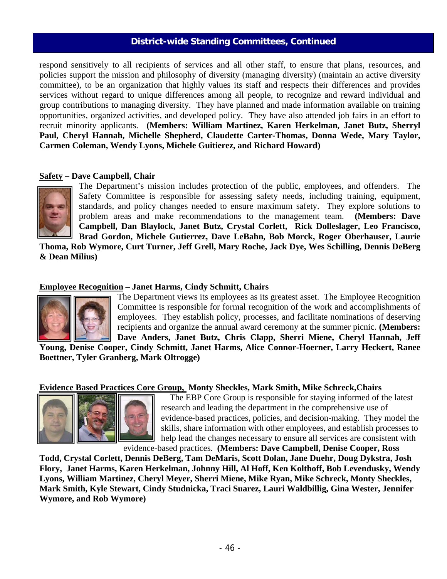### **District-wide Standing Committees, Continued**

respond sensitively to all recipients of services and all other staff, to ensure that plans, resources, and policies support the mission and philosophy of diversity (managing diversity) (maintain an active diversity committee), to be an organization that highly values its staff and respects their differences and provides services without regard to unique differences among all people, to recognize and reward individual and group contributions to managing diversity. They have planned and made information available on training opportunities, organized activities, and developed policy. They have also attended job fairs in an effort to recruit minority applicants. **(Members: William Martinez, Karen Herkelman, Janet Butz, Sherryl Paul, Cheryl Hannah, Michelle Shepherd, Claudette Carter-Thomas, Donna Wede, Mary Taylor, Carmen Coleman, Wendy Lyons, Michele Guitierez, and Richard Howard)**

### **Safety – Dave Campbell, Chair**



The Department's mission includes protection of the public, employees, and offenders. The Safety Committee is responsible for assessing safety needs, including training, equipment, standards, and policy changes needed to ensure maximum safety. They explore solutions to problem areas and make recommendations to the management team. **(Members: Dave Campbell, Dan Blaylock, Janet Butz, Crystal Corlett, Rick Dolleslager, Leo Francisco, Brad Gordon, Michele Gutierrez, Dave LeBahn, Bob Morck, Roger Oberhauser, Laurie** 

**Thoma, Rob Wymore, Curt Turner, Jeff Grell, Mary Roche, Jack Dye, Wes Schilling, Dennis DeBerg & Dean Milius)** 

### **Employee Recognition – Janet Harms, Cindy Schmitt, Chairs**



The Department views its employees as its greatest asset. The Employee Recognition Committee is responsible for formal recognition of the work and accomplishments of employees. They establish policy, processes, and facilitate nominations of deserving recipients and organize the annual award ceremony at the summer picnic. **(Members: Dave Anders, Janet Butz, Chris Clapp, Sherri Miene, Cheryl Hannah, Jeff** 

**Young, Denise Cooper, Cindy Schmitt, Janet Harms, Alice Connor-Hoerner, Larry Heckert, Ranee Boettner, Tyler Granberg, Mark Oltrogge)**

### **Evidence Based Practices Core Group, Monty Sheckles, Mark Smith, Mike Schreck,Chairs**



 The EBP Core Group is responsible for staying informed of the latest research and leading the department in the comprehensive use of evidence-based practices, policies, and decision-making. They model the skills, share information with other employees, and establish processes to help lead the changes necessary to ensure all services are consistent with

evidence-based practices. **(Members: Dave Campbell, Denise Cooper, Ross** 

**Todd, Crystal Corlett, Dennis DeBerg, Tam DeMaris, Scott Dolan, Jane Duehr, Doug Dykstra, Josh Flory, Janet Harms, Karen Herkelman, Johnny Hill, Al Hoff, Ken Kolthoff, Bob Levendusky, Wendy Lyons, William Martinez, Cheryl Meyer, Sherri Miene, Mike Ryan, Mike Schreck, Monty Sheckles, Mark Smith, Kyle Stewart, Cindy Studnicka, Traci Suarez, Lauri Waldbillig, Gina Wester, Jennifer Wymore, and Rob Wymore)**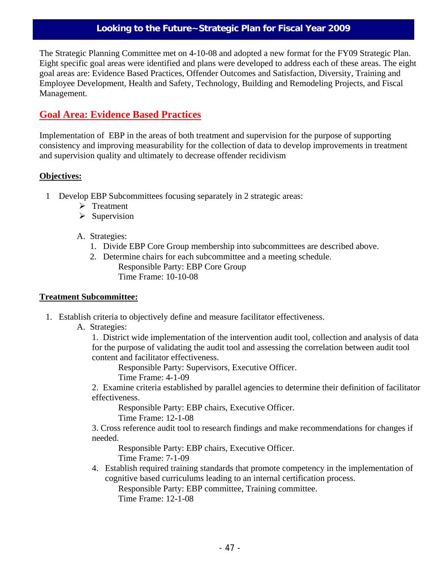### **Looking to the Future~Strategic Plan for Fiscal Year 2009**

The Strategic Planning Committee met on 4-10-08 and adopted a new format for the FY09 Strategic Plan. Eight specific goal areas were identified and plans were developed to address each of these areas. The eight goal areas are: Evidence Based Practices, Offender Outcomes and Satisfaction, Diversity, Training and Employee Development, Health and Safety, Technology, Building and Remodeling Projects, and Fiscal Management.

# **Goal Area: Evidence Based Practices**

Implementation of EBP in the areas of both treatment and supervision for the purpose of supporting consistency and improving measurability for the collection of data to develop improvements in treatment and supervision quality and ultimately to decrease offender recidivism

### **Objectives:**

- 1 Develop EBP Subcommittees focusing separately in 2 strategic areas:
	- $\triangleright$  Treatment
	- $\triangleright$  Supervision
	- A. Strategies:
		- 1. Divide EBP Core Group membership into subcommittees are described above.
		- 2. Determine chairs for each subcommittee and a meeting schedule. Responsible Party: EBP Core Group Time Frame: 10-10-08

### **Treatment Subcommittee:**

- 1. Establish criteria to objectively define and measure facilitator effectiveness.
	- A. Strategies:

1. District wide implementation of the intervention audit tool, collection and analysis of data for the purpose of validating the audit tool and assessing the correlation between audit tool content and facilitator effectiveness.

Responsible Party: Supervisors, Executive Officer.

Time Frame: 4-1-09

2. Examine criteria established by parallel agencies to determine their definition of facilitator effectiveness.

 Responsible Party: EBP chairs, Executive Officer. Time Frame: 12-1-08

3. Cross reference audit tool to research findings and make recommendations for changes if needed.

Responsible Party: EBP chairs, Executive Officer.

Time Frame: 7-1-09

4. Establish required training standards that promote competency in the implementation of cognitive based curriculums leading to an internal certification process.

Responsible Party: EBP committee, Training committee.

Time Frame: 12-1-08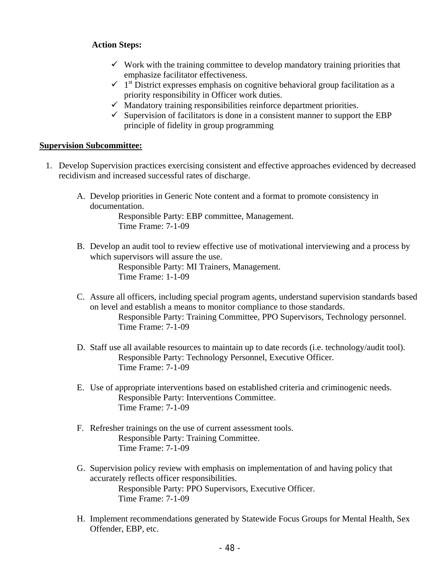### **Action Steps:**

- $\checkmark$  Work with the training committee to develop mandatory training priorities that emphasize facilitator effectiveness.
- $\sim$  1<sup>st</sup> District expresses emphasis on cognitive behavioral group facilitation as a priority responsibility in Officer work duties.
- $\checkmark$  Mandatory training responsibilities reinforce department priorities.
- $\checkmark$  Supervision of facilitators is done in a consistent manner to support the EBP principle of fidelity in group programming

### **Supervision Subcommittee:**

- 1. Develop Supervision practices exercising consistent and effective approaches evidenced by decreased recidivism and increased successful rates of discharge.
	- A. Develop priorities in Generic Note content and a format to promote consistency in documentation.

 Responsible Party: EBP committee, Management. Time Frame: 7-1-09

B. Develop an audit tool to review effective use of motivational interviewing and a process by which supervisors will assure the use.

> Responsible Party: MI Trainers, Management. Time Frame: 1-1-09

- C. Assure all officers, including special program agents, understand supervision standards based on level and establish a means to monitor compliance to those standards. Responsible Party: Training Committee, PPO Supervisors, Technology personnel. Time Frame: 7-1-09
- D. Staff use all available resources to maintain up to date records (i.e. technology/audit tool). Responsible Party: Technology Personnel, Executive Officer. Time Frame: 7-1-09
- E. Use of appropriate interventions based on established criteria and criminogenic needs. Responsible Party: Interventions Committee. Time Frame: 7-1-09
- F. Refresher trainings on the use of current assessment tools. Responsible Party: Training Committee. Time Frame: 7-1-09
- G. Supervision policy review with emphasis on implementation of and having policy that accurately reflects officer responsibilities. Responsible Party: PPO Supervisors, Executive Officer. Time Frame: 7-1-09
- H. Implement recommendations generated by Statewide Focus Groups for Mental Health, Sex Offender, EBP, etc.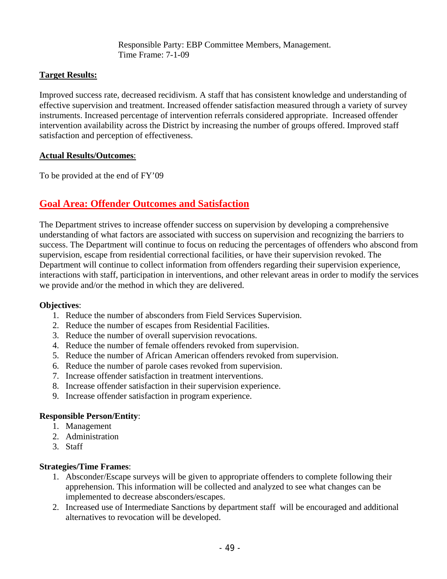Responsible Party: EBP Committee Members, Management. Time Frame: 7-1-09

### **Target Results:**

Improved success rate, decreased recidivism. A staff that has consistent knowledge and understanding of effective supervision and treatment. Increased offender satisfaction measured through a variety of survey instruments. Increased percentage of intervention referrals considered appropriate. Increased offender intervention availability across the District by increasing the number of groups offered. Improved staff satisfaction and perception of effectiveness.

### **Actual Results/Outcomes**:

To be provided at the end of FY'09

# **Goal Area: Offender Outcomes and Satisfaction**

The Department strives to increase offender success on supervision by developing a comprehensive understanding of what factors are associated with success on supervision and recognizing the barriers to success. The Department will continue to focus on reducing the percentages of offenders who abscond from supervision, escape from residential correctional facilities, or have their supervision revoked. The Department will continue to collect information from offenders regarding their supervision experience, interactions with staff, participation in interventions, and other relevant areas in order to modify the services we provide and/or the method in which they are delivered.

### **Objectives**:

- 1. Reduce the number of absconders from Field Services Supervision.
- 2. Reduce the number of escapes from Residential Facilities.
- 3. Reduce the number of overall supervision revocations.
- 4. Reduce the number of female offenders revoked from supervision.
- 5. Reduce the number of African American offenders revoked from supervision.
- 6. Reduce the number of parole cases revoked from supervision.
- 7. Increase offender satisfaction in treatment interventions.
- 8. Increase offender satisfaction in their supervision experience.
- 9. Increase offender satisfaction in program experience.

### **Responsible Person/Entity**:

- 1. Management
- 2. Administration
- 3. Staff

### **Strategies/Time Frames**:

- 1. Absconder/Escape surveys will be given to appropriate offenders to complete following their apprehension. This information will be collected and analyzed to see what changes can be implemented to decrease absconders/escapes.
- 2. Increased use of Intermediate Sanctions by department staff will be encouraged and additional alternatives to revocation will be developed.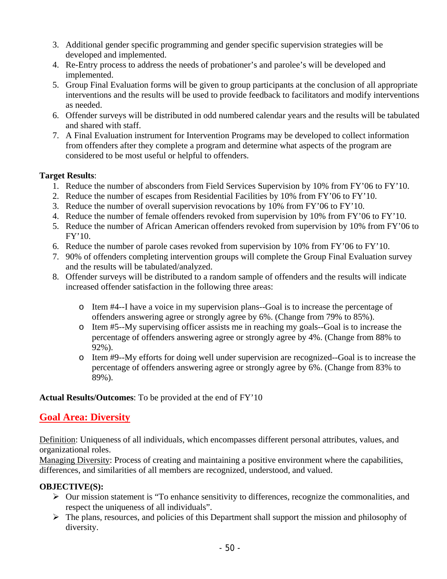- 3. Additional gender specific programming and gender specific supervision strategies will be developed and implemented.
- 4. Re-Entry process to address the needs of probationer's and parolee's will be developed and implemented.
- 5. Group Final Evaluation forms will be given to group participants at the conclusion of all appropriate interventions and the results will be used to provide feedback to facilitators and modify interventions as needed.
- 6. Offender surveys will be distributed in odd numbered calendar years and the results will be tabulated and shared with staff.
- 7. A Final Evaluation instrument for Intervention Programs may be developed to collect information from offenders after they complete a program and determine what aspects of the program are considered to be most useful or helpful to offenders.

### **Target Results**:

- 1. Reduce the number of absconders from Field Services Supervision by 10% from FY'06 to FY'10.
- 2. Reduce the number of escapes from Residential Facilities by 10% from FY'06 to FY'10.
- 3. Reduce the number of overall supervision revocations by 10% from FY'06 to FY'10.
- 4. Reduce the number of female offenders revoked from supervision by 10% from FY'06 to FY'10.
- 5. Reduce the number of African American offenders revoked from supervision by 10% from FY'06 to FY'10.
- 6. Reduce the number of parole cases revoked from supervision by 10% from FY'06 to FY'10.
- 7. 90% of offenders completing intervention groups will complete the Group Final Evaluation survey and the results will be tabulated/analyzed.
- 8. Offender surveys will be distributed to a random sample of offenders and the results will indicate increased offender satisfaction in the following three areas:
	- o Item #4--I have a voice in my supervision plans--Goal is to increase the percentage of offenders answering agree or strongly agree by 6%. (Change from 79% to 85%).
	- o Item #5--My supervising officer assists me in reaching my goals--Goal is to increase the percentage of offenders answering agree or strongly agree by 4%. (Change from 88% to 92%).
	- o Item #9--My efforts for doing well under supervision are recognized--Goal is to increase the percentage of offenders answering agree or strongly agree by 6%. (Change from 83% to 89%).

## **Actual Results/Outcomes**: To be provided at the end of FY'10

# **Goal Area: Diversity**

Definition: Uniqueness of all individuals, which encompasses different personal attributes, values, and organizational roles.

Managing Diversity: Process of creating and maintaining a positive environment where the capabilities, differences, and similarities of all members are recognized, understood, and valued.

## **OBJECTIVE(S):**

- $\triangleright$  Our mission statement is "To enhance sensitivity to differences, recognize the commonalities, and respect the uniqueness of all individuals".
- $\triangleright$  The plans, resources, and policies of this Department shall support the mission and philosophy of diversity.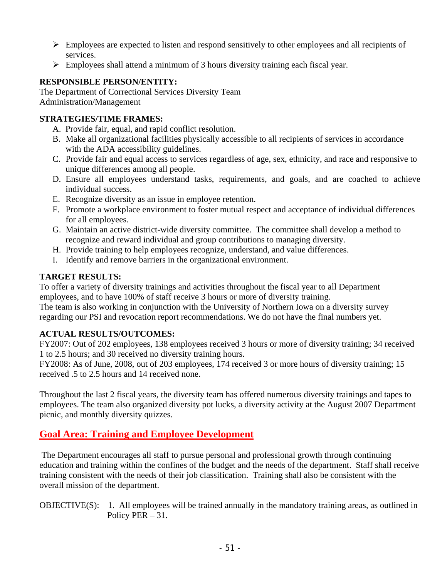- $\triangleright$  Employees are expected to listen and respond sensitively to other employees and all recipients of services.
- $\triangleright$  Employees shall attend a minimum of 3 hours diversity training each fiscal year.

### **RESPONSIBLE PERSON/ENTITY:**

The Department of Correctional Services Diversity Team Administration/Management

### **STRATEGIES/TIME FRAMES:**

- A. Provide fair, equal, and rapid conflict resolution.
- B. Make all organizational facilities physically accessible to all recipients of services in accordance with the ADA accessibility guidelines.
- C. Provide fair and equal access to services regardless of age, sex, ethnicity, and race and responsive to unique differences among all people.
- D. Ensure all employees understand tasks, requirements, and goals, and are coached to achieve individual success.
- E. Recognize diversity as an issue in employee retention.
- F. Promote a workplace environment to foster mutual respect and acceptance of individual differences for all employees.
- G. Maintain an active district-wide diversity committee. The committee shall develop a method to recognize and reward individual and group contributions to managing diversity.
- H. Provide training to help employees recognize, understand, and value differences.
- I. Identify and remove barriers in the organizational environment.

### **TARGET RESULTS:**

To offer a variety of diversity trainings and activities throughout the fiscal year to all Department employees, and to have 100% of staff receive 3 hours or more of diversity training. The team is also working in conjunction with the University of Northern Iowa on a diversity survey regarding our PSI and revocation report recommendations. We do not have the final numbers yet.

## **ACTUAL RESULTS/OUTCOMES:**

FY2007: Out of 202 employees, 138 employees received 3 hours or more of diversity training; 34 received 1 to 2.5 hours; and 30 received no diversity training hours.

FY2008: As of June, 2008, out of 203 employees, 174 received 3 or more hours of diversity training; 15 received .5 to 2.5 hours and 14 received none.

Throughout the last 2 fiscal years, the diversity team has offered numerous diversity trainings and tapes to employees. The team also organized diversity pot lucks, a diversity activity at the August 2007 Department picnic, and monthly diversity quizzes.

# **Goal Area: Training and Employee Development**

 The Department encourages all staff to pursue personal and professional growth through continuing education and training within the confines of the budget and the needs of the department. Staff shall receive training consistent with the needs of their job classification. Training shall also be consistent with the overall mission of the department.

OBJECTIVE(S): 1. All employees will be trained annually in the mandatory training areas, as outlined in Policy PER – 31.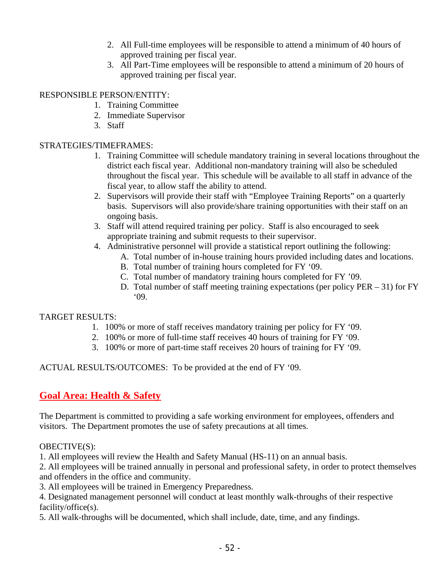- 2. All Full-time employees will be responsible to attend a minimum of 40 hours of approved training per fiscal year.
- 3. All Part-Time employees will be responsible to attend a minimum of 20 hours of approved training per fiscal year.

### RESPONSIBLE PERSON/ENTITY:

- 1. Training Committee
- 2. Immediate Supervisor
- 3. Staff

### STRATEGIES/TIMEFRAMES:

- 1. Training Committee will schedule mandatory training in several locations throughout the district each fiscal year. Additional non-mandatory training will also be scheduled throughout the fiscal year. This schedule will be available to all staff in advance of the fiscal year, to allow staff the ability to attend.
- 2. Supervisors will provide their staff with "Employee Training Reports" on a quarterly basis. Supervisors will also provide/share training opportunities with their staff on an ongoing basis.
- 3. Staff will attend required training per policy. Staff is also encouraged to seek appropriate training and submit requests to their supervisor.
- 4. Administrative personnel will provide a statistical report outlining the following:
	- A. Total number of in-house training hours provided including dates and locations.
	- B. Total number of training hours completed for FY '09.
	- C. Total number of mandatory training hours completed for FY '09.
	- D. Total number of staff meeting training expectations (per policy PER 31) for FY '09.

## TARGET RESULTS:

- 1. 100% or more of staff receives mandatory training per policy for FY '09.
- 2. 100% or more of full-time staff receives 40 hours of training for FY '09.
- 3. 100% or more of part-time staff receives 20 hours of training for FY '09.

ACTUAL RESULTS/OUTCOMES: To be provided at the end of FY '09.

# **Goal Area: Health & Safety**

The Department is committed to providing a safe working environment for employees, offenders and visitors. The Department promotes the use of safety precautions at all times.

## OBECTIVE(S):

1. All employees will review the Health and Safety Manual (HS-11) on an annual basis.

2. All employees will be trained annually in personal and professional safety, in order to protect themselves and offenders in the office and community.

3. All employees will be trained in Emergency Preparedness.

4. Designated management personnel will conduct at least monthly walk-throughs of their respective facility/office(s).

5. All walk-throughs will be documented, which shall include, date, time, and any findings.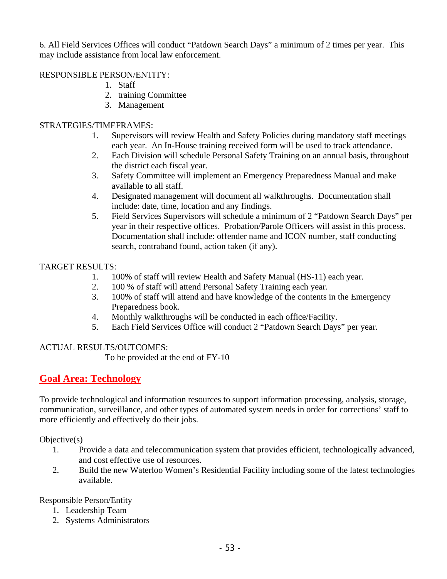6. All Field Services Offices will conduct "Patdown Search Days" a minimum of 2 times per year. This may include assistance from local law enforcement.

### RESPONSIBLE PERSON/ENTITY:

- 1. Staff
- 2. training Committee
- 3. Management

## STRATEGIES/TIMEFRAMES:

- 1. Supervisors will review Health and Safety Policies during mandatory staff meetings each year. An In-House training received form will be used to track attendance.
- 2. Each Division will schedule Personal Safety Training on an annual basis, throughout the district each fiscal year.
- 3. Safety Committee will implement an Emergency Preparedness Manual and make available to all staff.
- 4. Designated management will document all walkthroughs. Documentation shall include: date, time, location and any findings.
- 5. Field Services Supervisors will schedule a minimum of 2 "Patdown Search Days" per year in their respective offices. Probation/Parole Officers will assist in this process. Documentation shall include: offender name and ICON number, staff conducting search, contraband found, action taken (if any).

## TARGET RESULTS:

- 1. 100% of staff will review Health and Safety Manual (HS-11) each year.
- 2. 100 % of staff will attend Personal Safety Training each year.
- 3. 100% of staff will attend and have knowledge of the contents in the Emergency Preparedness book.
- 4. Monthly walkthroughs will be conducted in each office/Facility.
- 5. Each Field Services Office will conduct 2 "Patdown Search Days" per year.

## ACTUAL RESULTS/OUTCOMES:

To be provided at the end of FY-10

# **Goal Area: Technology**

To provide technological and information resources to support information processing, analysis, storage, communication, surveillance, and other types of automated system needs in order for corrections' staff to more efficiently and effectively do their jobs.

Objective(s)

- 1. Provide a data and telecommunication system that provides efficient, technologically advanced, and cost effective use of resources.
- 2. Build the new Waterloo Women's Residential Facility including some of the latest technologies available.

Responsible Person/Entity

- 1. Leadership Team
- 2. Systems Administrators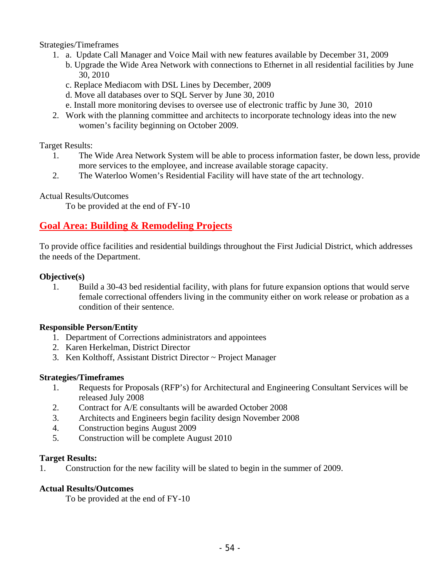Strategies/Timeframes

- 1. a. Update Call Manager and Voice Mail with new features available by December 31, 2009
	- b. Upgrade the Wide Area Network with connections to Ethernet in all residential facilities by June 30, 2010
	- c. Replace Mediacom with DSL Lines by December, 2009
	- d. Move all databases over to SQL Server by June 30, 2010
	- e. Install more monitoring devises to oversee use of electronic traffic by June 30, 2010
- 2. Work with the planning committee and architects to incorporate technology ideas into the new women's facility beginning on October 2009.

Target Results:

- 1. The Wide Area Network System will be able to process information faster, be down less, provide more services to the employee, and increase available storage capacity.
- 2. The Waterloo Women's Residential Facility will have state of the art technology.

Actual Results/Outcomes

To be provided at the end of FY-10

# **Goal Area: Building & Remodeling Projects**

To provide office facilities and residential buildings throughout the First Judicial District, which addresses the needs of the Department.

### **Objective(s)**

1. Build a 30-43 bed residential facility, with plans for future expansion options that would serve female correctional offenders living in the community either on work release or probation as a condition of their sentence.

### **Responsible Person/Entity**

- 1. Department of Corrections administrators and appointees
- 2. Karen Herkelman, District Director
- 3. Ken Kolthoff, Assistant District Director ~ Project Manager

### **Strategies/Timeframes**

- 1. Requests for Proposals (RFP's) for Architectural and Engineering Consultant Services will be released July 2008
- 2. Contract for A/E consultants will be awarded October 2008
- 3. Architects and Engineers begin facility design November 2008
- 4. Construction begins August 2009
- 5. Construction will be complete August 2010

### **Target Results:**

1. Construction for the new facility will be slated to begin in the summer of 2009.

### **Actual Results/Outcomes**

To be provided at the end of FY-10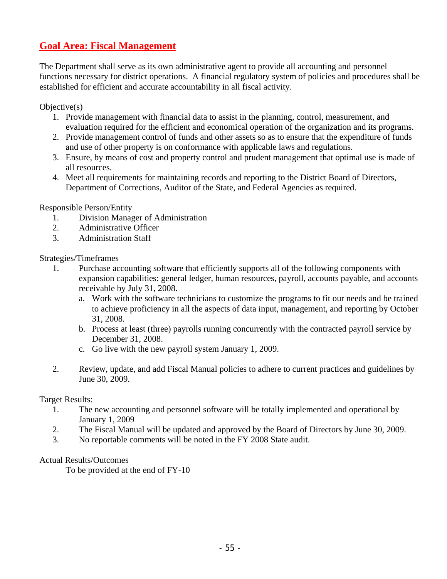# **Goal Area: Fiscal Management**

The Department shall serve as its own administrative agent to provide all accounting and personnel functions necessary for district operations. A financial regulatory system of policies and procedures shall be established for efficient and accurate accountability in all fiscal activity.

Objective(s)

- 1. Provide management with financial data to assist in the planning, control, measurement, and evaluation required for the efficient and economical operation of the organization and its programs.
- 2. Provide management control of funds and other assets so as to ensure that the expenditure of funds and use of other property is on conformance with applicable laws and regulations.
- 3. Ensure, by means of cost and property control and prudent management that optimal use is made of all resources.
- 4. Meet all requirements for maintaining records and reporting to the District Board of Directors, Department of Corrections, Auditor of the State, and Federal Agencies as required.

Responsible Person/Entity

- 1. Division Manager of Administration
- 2. Administrative Officer
- 3. Administration Staff

Strategies/Timeframes

- 1. Purchase accounting software that efficiently supports all of the following components with expansion capabilities: general ledger, human resources, payroll, accounts payable, and accounts receivable by July 31, 2008.
	- a. Work with the software technicians to customize the programs to fit our needs and be trained to achieve proficiency in all the aspects of data input, management, and reporting by October 31, 2008.
	- b. Process at least (three) payrolls running concurrently with the contracted payroll service by December 31, 2008.
	- c. Go live with the new payroll system January 1, 2009.
- 2. Review, update, and add Fiscal Manual policies to adhere to current practices and guidelines by June 30, 2009.

Target Results:

- 1. The new accounting and personnel software will be totally implemented and operational by January 1, 2009
- 2. The Fiscal Manual will be updated and approved by the Board of Directors by June 30, 2009.
- 3. No reportable comments will be noted in the FY 2008 State audit.

### Actual Results/Outcomes

To be provided at the end of FY-10